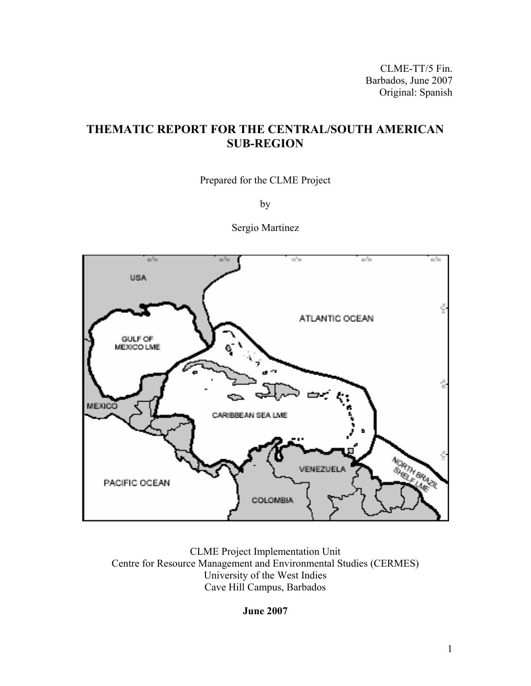CLME-TT/5 Fin. Barbados, June 2007 Original: Spanish

# **THEMATIC REPORT FOR THE CENTRAL/SOUTH AMERICAN SUB-REGION**

Prepared for the CLME Project

by

Sergio Martinez



CLME Project Implementation Unit Centre for Resource Management and Environmental Studies (CERMES) University of the West Indies Cave Hill Campus, Barbados

**June 2007**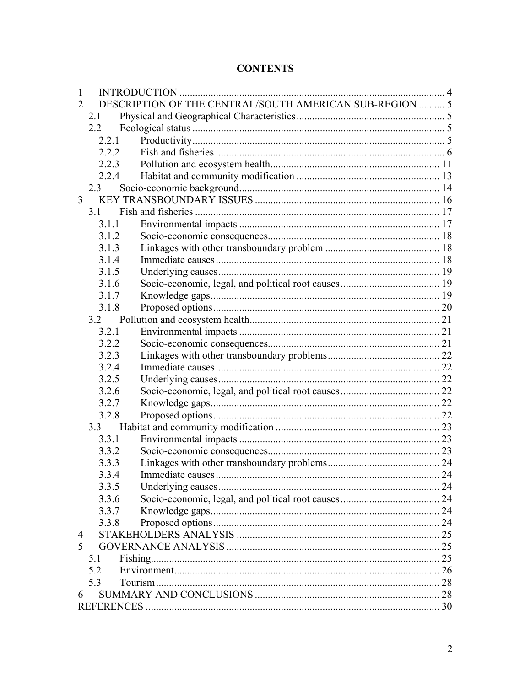# **CONTENTS**

| $\mathbf{1}$ |               |                                                         |      |
|--------------|---------------|---------------------------------------------------------|------|
| 2            |               | DESCRIPTION OF THE CENTRAL/SOUTH AMERICAN SUB-REGION  5 |      |
|              | 2.1           |                                                         |      |
|              | $2.2^{\circ}$ |                                                         |      |
|              | 2.2.1         |                                                         |      |
|              | 2.2.2         |                                                         |      |
|              | 2.2.3         |                                                         |      |
|              | 2.2.4         |                                                         |      |
|              | 2.3           |                                                         |      |
| 3            |               |                                                         |      |
|              | 3.1           |                                                         |      |
|              | 3.1.1         |                                                         |      |
|              | 3.1.2         |                                                         |      |
|              | 3.1.3         |                                                         |      |
|              | 3.1.4         |                                                         |      |
|              | 3.1.5         |                                                         |      |
|              | 3.1.6         |                                                         |      |
|              | 3.1.7         |                                                         |      |
|              | 3.1.8         |                                                         |      |
|              | 3.2           |                                                         |      |
|              | 3.2.1         |                                                         |      |
|              | 3.2.2         |                                                         |      |
|              | 3.2.3         |                                                         |      |
|              | 3.2.4         |                                                         |      |
|              | 3.2.5         |                                                         |      |
|              | 3.2.6         |                                                         |      |
|              | 3.2.7         |                                                         |      |
|              | 3.2.8         |                                                         |      |
|              | 3.3           |                                                         |      |
|              | 3.3.1         |                                                         |      |
|              | 3.3.2         |                                                         |      |
|              | 3.3.3         |                                                         |      |
|              | 3.3.4         | Immediate causes                                        | . 24 |
|              | 3.3.5         |                                                         |      |
|              | 3.3.6         |                                                         |      |
|              | 3.3.7         |                                                         |      |
|              | 3.3.8         |                                                         |      |
| 4            |               |                                                         |      |
| 5            |               |                                                         |      |
|              | 5.1           |                                                         |      |
|              | 5.2           |                                                         |      |
|              | 5.3           |                                                         |      |
| 6            |               |                                                         |      |
|              |               |                                                         |      |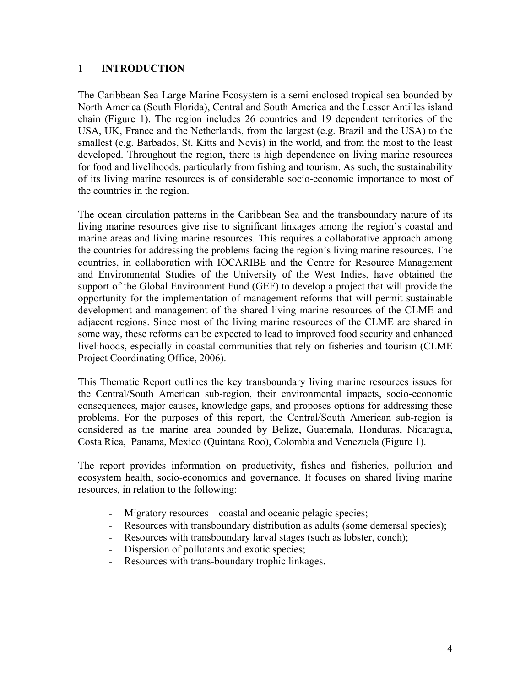## **1 INTRODUCTION**

The Caribbean Sea Large Marine Ecosystem is a semi-enclosed tropical sea bounded by North America (South Florida), Central and South America and the Lesser Antilles island chain (Figure 1). The region includes 26 countries and 19 dependent territories of the USA, UK, France and the Netherlands, from the largest (e.g. Brazil and the USA) to the smallest (e.g. Barbados, St. Kitts and Nevis) in the world, and from the most to the least developed. Throughout the region, there is high dependence on living marine resources for food and livelihoods, particularly from fishing and tourism. As such, the sustainability of its living marine resources is of considerable socio-economic importance to most of the countries in the region.

The ocean circulation patterns in the Caribbean Sea and the transboundary nature of its living marine resources give rise to significant linkages among the region's coastal and marine areas and living marine resources. This requires a collaborative approach among the countries for addressing the problems facing the region's living marine resources. The countries, in collaboration with IOCARIBE and the Centre for Resource Management and Environmental Studies of the University of the West Indies, have obtained the support of the Global Environment Fund (GEF) to develop a project that will provide the opportunity for the implementation of management reforms that will permit sustainable development and management of the shared living marine resources of the CLME and adjacent regions. Since most of the living marine resources of the CLME are shared in some way, these reforms can be expected to lead to improved food security and enhanced livelihoods, especially in coastal communities that rely on fisheries and tourism (CLME Project Coordinating Office, 2006).

This Thematic Report outlines the key transboundary living marine resources issues for the Central/South American sub-region, their environmental impacts, socio-economic consequences, major causes, knowledge gaps, and proposes options for addressing these problems. For the purposes of this report, the Central/South American sub-region is considered as the marine area bounded by Belize, Guatemala, Honduras, Nicaragua, Costa Rica, Panama, Mexico (Quintana Roo), Colombia and Venezuela (Figure 1).

The report provides information on productivity, fishes and fisheries, pollution and ecosystem health, socio-economics and governance. It focuses on shared living marine resources, in relation to the following:

- Migratory resources coastal and oceanic pelagic species;
- Resources with transboundary distribution as adults (some demersal species);
- Resources with transboundary larval stages (such as lobster, conch);
- Dispersion of pollutants and exotic species;
- Resources with trans-boundary trophic linkages.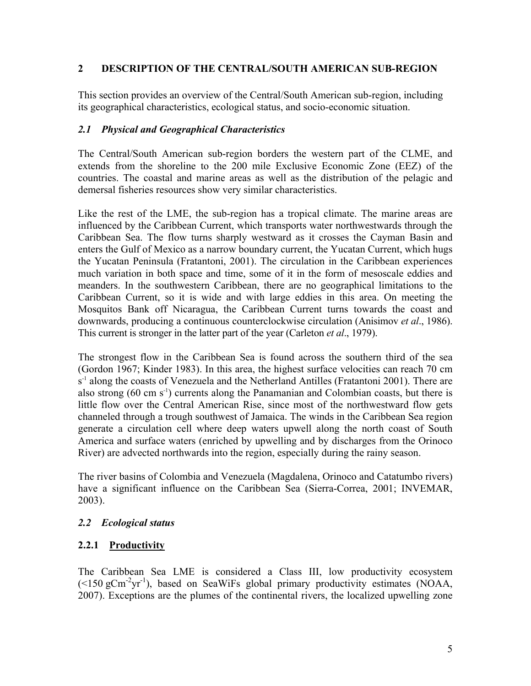## **2 DESCRIPTION OF THE CENTRAL/SOUTH AMERICAN SUB-REGION**

This section provides an overview of the Central/South American sub-region, including its geographical characteristics, ecological status, and socio-economic situation.

#### *2.1 Physical and Geographical Characteristics*

The Central/South American sub-region borders the western part of the CLME, and extends from the shoreline to the 200 mile Exclusive Economic Zone (EEZ) of the countries. The coastal and marine areas as well as the distribution of the pelagic and demersal fisheries resources show very similar characteristics.

Like the rest of the LME, the sub-region has a tropical climate. The marine areas are influenced by the Caribbean Current, which transports water northwestwards through the Caribbean Sea. The flow turns sharply westward as it crosses the Cayman Basin and enters the Gulf of Mexico as a narrow boundary current, the Yucatan Current, which hugs the Yucatan Peninsula (Fratantoni, 2001). The circulation in the Caribbean experiences much variation in both space and time, some of it in the form of mesoscale eddies and meanders. In the southwestern Caribbean, there are no geographical limitations to the Caribbean Current, so it is wide and with large eddies in this area. On meeting the Mosquitos Bank off Nicaragua, the Caribbean Current turns towards the coast and downwards, producing a continuous counterclockwise circulation (Anisimov *et al*., 1986). This current is stronger in the latter part of the year (Carleton *et al*., 1979).

The strongest flow in the Caribbean Sea is found across the southern third of the sea (Gordon 1967; Kinder 1983). In this area, the highest surface velocities can reach 70 cm s<sup>-1</sup> along the coasts of Venezuela and the Netherland Antilles (Fratantoni 2001). There are also strong  $(60 \text{ cm s}^{-1})$  currents along the Panamanian and Colombian coasts, but there is little flow over the Central American Rise, since most of the northwestward flow gets channeled through a trough southwest of Jamaica. The winds in the Caribbean Sea region generate a circulation cell where deep waters upwell along the north coast of South America and surface waters (enriched by upwelling and by discharges from the Orinoco River) are advected northwards into the region, especially during the rainy season.

The river basins of Colombia and Venezuela (Magdalena, Orinoco and Catatumbo rivers) have a significant influence on the Caribbean Sea (Sierra-Correa, 2001; INVEMAR, 2003).

## *2.2 Ecological status*

## **2.2.1 Productivity**

The Caribbean Sea LME is considered a Class III, low productivity ecosystem  $(\leq 150 \text{ gCm}^{-2} \text{yr}^{-1})$ , based on SeaWiFs global primary productivity estimates (NOAA, 2007). Exceptions are the plumes of the continental rivers, the localized upwelling zone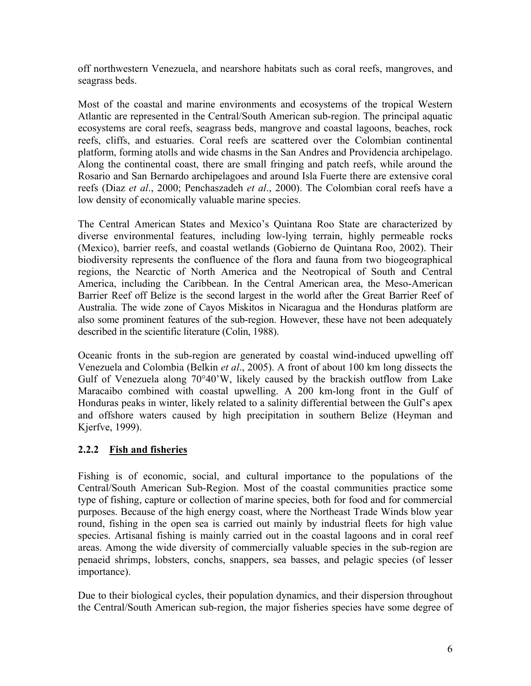off northwestern Venezuela, and nearshore habitats such as coral reefs, mangroves, and seagrass beds.

Most of the coastal and marine environments and ecosystems of the tropical Western Atlantic are represented in the Central/South American sub-region. The principal aquatic ecosystems are coral reefs, seagrass beds, mangrove and coastal lagoons, beaches, rock reefs, cliffs, and estuaries. Coral reefs are scattered over the Colombian continental platform, forming atolls and wide chasms in the San Andres and Providencia archipelago. Along the continental coast, there are small fringing and patch reefs, while around the Rosario and San Bernardo archipelagoes and around Isla Fuerte there are extensive coral reefs (Diaz *et al*., 2000; Penchaszadeh *et al*., 2000). The Colombian coral reefs have a low density of economically valuable marine species.

The Central American States and Mexico's Quintana Roo State are characterized by diverse environmental features, including low-lying terrain, highly permeable rocks (Mexico), barrier reefs, and coastal wetlands (Gobierno de Quintana Roo, 2002). Their biodiversity represents the confluence of the flora and fauna from two biogeographical regions, the Nearctic of North America and the Neotropical of South and Central America, including the Caribbean. In the Central American area, the Meso-American Barrier Reef off Belize is the second largest in the world after the Great Barrier Reef of Australia. The wide zone of Cayos Miskitos in Nicaragua and the Honduras platform are also some prominent features of the sub-region. However, these have not been adequately described in the scientific literature (Colin, 1988).

Oceanic fronts in the sub-region are generated by coastal wind-induced upwelling off Venezuela and Colombia (Belkin *et al*., 2005). A front of about 100 km long dissects the Gulf of Venezuela along 70°40'W, likely caused by the brackish outflow from Lake Maracaibo combined with coastal upwelling. A 200 km-long front in the Gulf of Honduras peaks in winter, likely related to a salinity differential between the Gulf's apex and offshore waters caused by high precipitation in southern Belize (Heyman and Kjerfve, 1999).

## **2.2.2 Fish and fisheries**

Fishing is of economic, social, and cultural importance to the populations of the Central/South American Sub-Region. Most of the coastal communities practice some type of fishing, capture or collection of marine species, both for food and for commercial purposes. Because of the high energy coast, where the Northeast Trade Winds blow year round, fishing in the open sea is carried out mainly by industrial fleets for high value species. Artisanal fishing is mainly carried out in the coastal lagoons and in coral reef areas. Among the wide diversity of commercially valuable species in the sub-region are penaeid shrimps, lobsters, conchs, snappers, sea basses, and pelagic species (of lesser importance).

Due to their biological cycles, their population dynamics, and their dispersion throughout the Central/South American sub-region, the major fisheries species have some degree of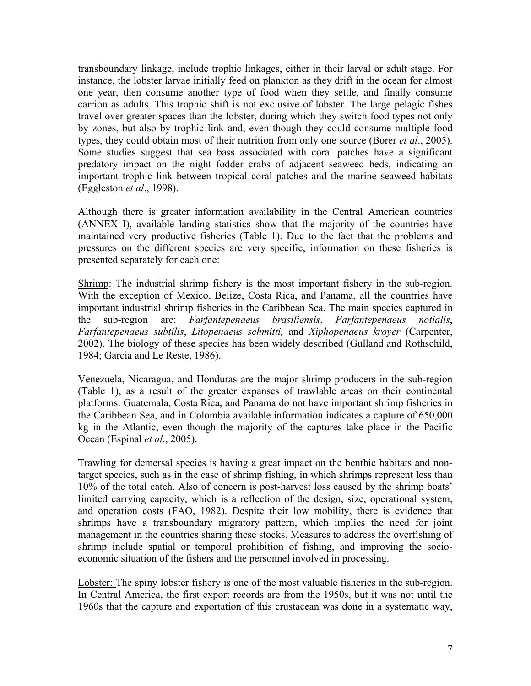transboundary linkage, include trophic linkages, either in their larval or adult stage. For instance, the lobster larvae initially feed on plankton as they drift in the ocean for almost one year, then consume another type of food when they settle, and finally consume carrion as adults. This trophic shift is not exclusive of lobster. The large pelagic fishes travel over greater spaces than the lobster, during which they switch food types not only by zones, but also by trophic link and, even though they could consume multiple food types, they could obtain most of their nutrition from only one source (Borer *et al*., 2005). Some studies suggest that sea bass associated with coral patches have a significant predatory impact on the night fodder crabs of adjacent seaweed beds, indicating an important trophic link between tropical coral patches and the marine seaweed habitats (Eggleston *et al*., 1998).

Although there is greater information availability in the Central American countries (ANNEX I), available landing statistics show that the majority of the countries have maintained very productive fisheries (Table 1). Due to the fact that the problems and pressures on the different species are very specific, information on these fisheries is presented separately for each one:

Shrimp: The industrial shrimp fishery is the most important fishery in the sub-region. With the exception of Mexico, Belize, Costa Rica, and Panama, all the countries have important industrial shrimp fisheries in the Caribbean Sea. The main species captured in the sub-region are: *Farfantepenaeus brasiliensis*, *Farfantepenaeus notialis*, *Farfantepenaeus subtilis*, *Litopenaeus schmitti,* and *Xiphopenaeus kroyer* (Carpenter, 2002). The biology of these species has been widely described (Gulland and Rothschild, 1984; Garcia and Le Reste, 1986).

Venezuela, Nicaragua, and Honduras are the major shrimp producers in the sub-region (Table 1), as a result of the greater expanses of trawlable areas on their continental platforms. Guatemala, Costa Rica, and Panama do not have important shrimp fisheries in the Caribbean Sea, and in Colombia available information indicates a capture of 650,000 kg in the Atlantic, even though the majority of the captures take place in the Pacific Ocean (Espinal *et al*., 2005).

Trawling for demersal species is having a great impact on the benthic habitats and nontarget species, such as in the case of shrimp fishing, in which shrimps represent less than 10% of the total catch. Also of concern is post-harvest loss caused by the shrimp boats' limited carrying capacity, which is a reflection of the design, size, operational system, and operation costs (FAO, 1982). Despite their low mobility, there is evidence that shrimps have a transboundary migratory pattern, which implies the need for joint management in the countries sharing these stocks. Measures to address the overfishing of shrimp include spatial or temporal prohibition of fishing, and improving the socioeconomic situation of the fishers and the personnel involved in processing.

Lobster: The spiny lobster fishery is one of the most valuable fisheries in the sub-region. In Central America, the first export records are from the 1950s, but it was not until the 1960s that the capture and exportation of this crustacean was done in a systematic way,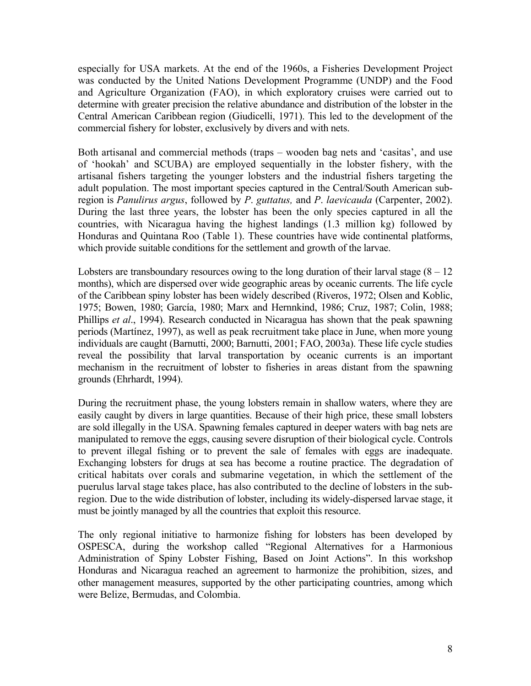especially for USA markets. At the end of the 1960s, a Fisheries Development Project was conducted by the United Nations Development Programme (UNDP) and the Food and Agriculture Organization (FAO), in which exploratory cruises were carried out to determine with greater precision the relative abundance and distribution of the lobster in the Central American Caribbean region (Giudicelli, 1971). This led to the development of the commercial fishery for lobster, exclusively by divers and with nets.

Both artisanal and commercial methods (traps – wooden bag nets and 'casitas', and use of 'hookah' and SCUBA) are employed sequentially in the lobster fishery, with the artisanal fishers targeting the younger lobsters and the industrial fishers targeting the adult population. The most important species captured in the Central/South American subregion is *Panulirus argus*, followed by *P*. *guttatus,* and *P*. *laevicauda* (Carpenter, 2002). During the last three years, the lobster has been the only species captured in all the countries, with Nicaragua having the highest landings (1.3 million kg) followed by Honduras and Quintana Roo (Table 1). These countries have wide continental platforms, which provide suitable conditions for the settlement and growth of the larvae.

Lobsters are transboundary resources owing to the long duration of their larval stage  $(8 - 12)$ months), which are dispersed over wide geographic areas by oceanic currents. The life cycle of the Caribbean spiny lobster has been widely described (Riveros, 1972; Olsen and Koblic, 1975; Bowen, 1980; García, 1980; Marx and Hernnkind, 1986; Cruz, 1987; Colin, 1988; Phillips *et al*., 1994). Research conducted in Nicaragua has shown that the peak spawning periods (Martínez, 1997), as well as peak recruitment take place in June, when more young individuals are caught (Barnutti, 2000; Barnutti, 2001; FAO, 2003a). These life cycle studies reveal the possibility that larval transportation by oceanic currents is an important mechanism in the recruitment of lobster to fisheries in areas distant from the spawning grounds (Ehrhardt, 1994).

During the recruitment phase, the young lobsters remain in shallow waters, where they are easily caught by divers in large quantities. Because of their high price, these small lobsters are sold illegally in the USA. Spawning females captured in deeper waters with bag nets are manipulated to remove the eggs, causing severe disruption of their biological cycle. Controls to prevent illegal fishing or to prevent the sale of females with eggs are inadequate. Exchanging lobsters for drugs at sea has become a routine practice. The degradation of critical habitats over corals and submarine vegetation, in which the settlement of the puerulus larval stage takes place, has also contributed to the decline of lobsters in the subregion. Due to the wide distribution of lobster, including its widely-dispersed larvae stage, it must be jointly managed by all the countries that exploit this resource.

The only regional initiative to harmonize fishing for lobsters has been developed by OSPESCA, during the workshop called "Regional Alternatives for a Harmonious Administration of Spiny Lobster Fishing, Based on Joint Actions". In this workshop Honduras and Nicaragua reached an agreement to harmonize the prohibition, sizes, and other management measures, supported by the other participating countries, among which were Belize, Bermudas, and Colombia.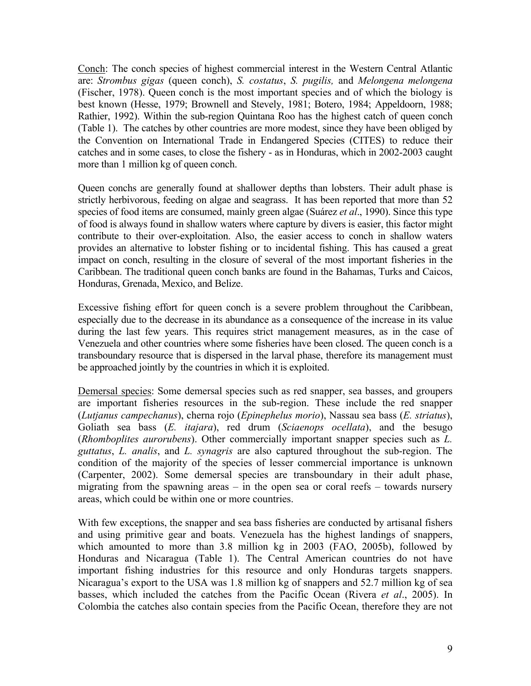Conch: The conch species of highest commercial interest in the Western Central Atlantic are: *Strombus gigas* (queen conch), *S. costatus*, *S. pugilis,* and *Melongena melongena*  (Fischer, 1978). Queen conch is the most important species and of which the biology is best known (Hesse, 1979; Brownell and Stevely, 1981; Botero, 1984; Appeldoorn, 1988; Rathier, 1992). Within the sub-region Quintana Roo has the highest catch of queen conch (Table 1). The catches by other countries are more modest, since they have been obliged by the Convention on International Trade in Endangered Species (CITES) to reduce their catches and in some cases, to close the fishery - as in Honduras, which in 2002-2003 caught more than 1 million kg of queen conch.

Queen conchs are generally found at shallower depths than lobsters. Their adult phase is strictly herbivorous, feeding on algae and seagrass. It has been reported that more than 52 species of food items are consumed, mainly green algae (Suárez *et al*., 1990). Since this type of food is always found in shallow waters where capture by divers is easier, this factor might contribute to their over-exploitation. Also, the easier access to conch in shallow waters provides an alternative to lobster fishing or to incidental fishing. This has caused a great impact on conch, resulting in the closure of several of the most important fisheries in the Caribbean. The traditional queen conch banks are found in the Bahamas, Turks and Caicos, Honduras, Grenada, Mexico, and Belize.

Excessive fishing effort for queen conch is a severe problem throughout the Caribbean, especially due to the decrease in its abundance as a consequence of the increase in its value during the last few years. This requires strict management measures, as in the case of Venezuela and other countries where some fisheries have been closed. The queen conch is a transboundary resource that is dispersed in the larval phase, therefore its management must be approached jointly by the countries in which it is exploited.

Demersal species: Some demersal species such as red snapper, sea basses, and groupers are important fisheries resources in the sub-region. These include the red snapper (*Lutjanus campechanus*), cherna rojo (*Epinephelus morio*), Nassau sea bass (*E. striatus*), Goliath sea bass (*E. itajara*), red drum (*Sciaenops ocellata*), and the besugo (*Rhomboplites aurorubens*). Other commercially important snapper species such as *L. guttatus*, *L. analis*, and *L. synagris* are also captured throughout the sub-region. The condition of the majority of the species of lesser commercial importance is unknown (Carpenter, 2002). Some demersal species are transboundary in their adult phase, migrating from the spawning areas  $-$  in the open sea or coral reefs  $-$  towards nursery areas, which could be within one or more countries.

With few exceptions, the snapper and sea bass fisheries are conducted by artisanal fishers and using primitive gear and boats. Venezuela has the highest landings of snappers, which amounted to more than 3.8 million kg in 2003 (FAO, 2005b), followed by Honduras and Nicaragua (Table 1). The Central American countries do not have important fishing industries for this resource and only Honduras targets snappers. Nicaragua's export to the USA was 1.8 million kg of snappers and 52.7 million kg of sea basses, which included the catches from the Pacific Ocean (Rivera *et al*., 2005). In Colombia the catches also contain species from the Pacific Ocean, therefore they are not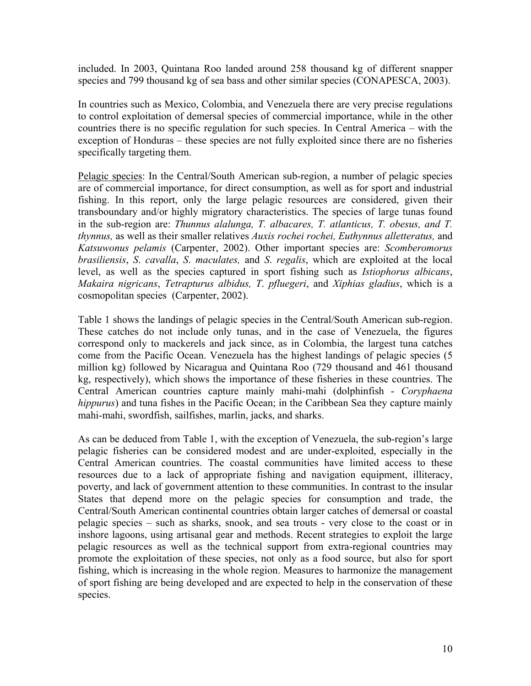included. In 2003, Quintana Roo landed around 258 thousand kg of different snapper species and 799 thousand kg of sea bass and other similar species (CONAPESCA, 2003).

In countries such as Mexico, Colombia, and Venezuela there are very precise regulations to control exploitation of demersal species of commercial importance, while in the other countries there is no specific regulation for such species. In Central America – with the exception of Honduras – these species are not fully exploited since there are no fisheries specifically targeting them.

Pelagic species: In the Central/South American sub-region, a number of pelagic species are of commercial importance, for direct consumption, as well as for sport and industrial fishing. In this report, only the large pelagic resources are considered, given their transboundary and/or highly migratory characteristics. The species of large tunas found in the sub-region are: *Thunnus alalunga, T. albacares, T. atlanticus, T. obesus, and T. thynnus,* as well as their smaller relatives *Auxis rochei rochei, Euthynnus alletteratus,* and *Katsuwonus pelamis* (Carpenter, 2002). Other important species are: *Scomberomorus brasiliensis*, *S*. *cavalla*, *S*. *maculates,* and *S*. *regalis*, which are exploited at the local level, as well as the species captured in sport fishing such as *Istiophorus albicans*, *Makaira nigricans*, *Tetrapturus albidus, T*. *pfluegeri*, and *Xiphias gladius*, which is a cosmopolitan species (Carpenter, 2002).

Table 1 shows the landings of pelagic species in the Central/South American sub-region. These catches do not include only tunas, and in the case of Venezuela, the figures correspond only to mackerels and jack since, as in Colombia, the largest tuna catches come from the Pacific Ocean. Venezuela has the highest landings of pelagic species (5 million kg) followed by Nicaragua and Quintana Roo (729 thousand and 461 thousand kg, respectively), which shows the importance of these fisheries in these countries. The Central American countries capture mainly mahi-mahi (dolphinfish - *Coryphaena hippurus*) and tuna fishes in the Pacific Ocean; in the Caribbean Sea they capture mainly mahi-mahi, swordfish, sailfishes, marlin, jacks, and sharks.

As can be deduced from Table 1, with the exception of Venezuela, the sub-region's large pelagic fisheries can be considered modest and are under-exploited, especially in the Central American countries. The coastal communities have limited access to these resources due to a lack of appropriate fishing and navigation equipment, illiteracy, poverty, and lack of government attention to these communities. In contrast to the insular States that depend more on the pelagic species for consumption and trade, the Central/South American continental countries obtain larger catches of demersal or coastal pelagic species – such as sharks, snook, and sea trouts - very close to the coast or in inshore lagoons, using artisanal gear and methods. Recent strategies to exploit the large pelagic resources as well as the technical support from extra-regional countries may promote the exploitation of these species, not only as a food source, but also for sport fishing, which is increasing in the whole region. Measures to harmonize the management of sport fishing are being developed and are expected to help in the conservation of these species.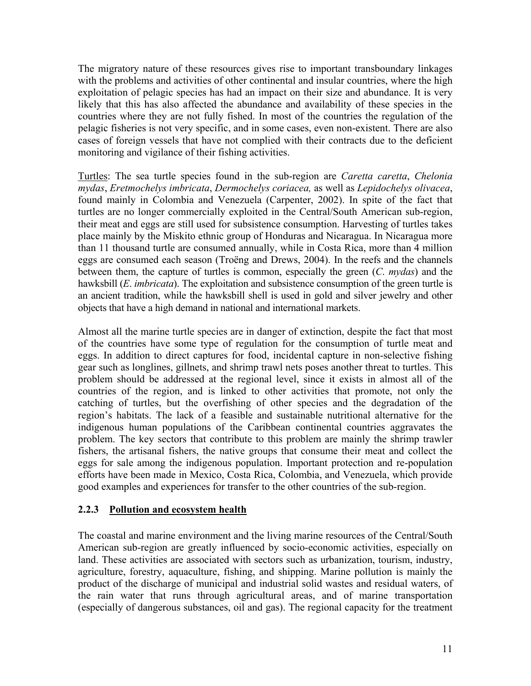The migratory nature of these resources gives rise to important transboundary linkages with the problems and activities of other continental and insular countries, where the high exploitation of pelagic species has had an impact on their size and abundance. It is very likely that this has also affected the abundance and availability of these species in the countries where they are not fully fished. In most of the countries the regulation of the pelagic fisheries is not very specific, and in some cases, even non-existent. There are also cases of foreign vessels that have not complied with their contracts due to the deficient monitoring and vigilance of their fishing activities.

Turtles: The sea turtle species found in the sub-region are *Caretta caretta*, *Chelonia mydas*, *Eretmochelys imbricata*, *Dermochelys coriacea,* as well as *Lepidochelys olivacea*, found mainly in Colombia and Venezuela (Carpenter, 2002). In spite of the fact that turtles are no longer commercially exploited in the Central/South American sub-region, their meat and eggs are still used for subsistence consumption. Harvesting of turtles takes place mainly by the Miskito ethnic group of Honduras and Nicaragua. In Nicaragua more than 11 thousand turtle are consumed annually, while in Costa Rica, more than 4 million eggs are consumed each season (Troëng and Drews, 2004). In the reefs and the channels between them, the capture of turtles is common, especially the green (*C*. *mydas*) and the hawksbill (*E*. *imbricata*). The exploitation and subsistence consumption of the green turtle is an ancient tradition, while the hawksbill shell is used in gold and silver jewelry and other objects that have a high demand in national and international markets.

Almost all the marine turtle species are in danger of extinction, despite the fact that most of the countries have some type of regulation for the consumption of turtle meat and eggs. In addition to direct captures for food, incidental capture in non-selective fishing gear such as longlines, gillnets, and shrimp trawl nets poses another threat to turtles. This problem should be addressed at the regional level, since it exists in almost all of the countries of the region, and is linked to other activities that promote, not only the catching of turtles, but the overfishing of other species and the degradation of the region's habitats. The lack of a feasible and sustainable nutritional alternative for the indigenous human populations of the Caribbean continental countries aggravates the problem. The key sectors that contribute to this problem are mainly the shrimp trawler fishers, the artisanal fishers, the native groups that consume their meat and collect the eggs for sale among the indigenous population. Important protection and re-population efforts have been made in Mexico, Costa Rica, Colombia, and Venezuela, which provide good examples and experiences for transfer to the other countries of the sub-region.

## **2.2.3 Pollution and ecosystem health**

The coastal and marine environment and the living marine resources of the Central/South American sub-region are greatly influenced by socio-economic activities, especially on land. These activities are associated with sectors such as urbanization, tourism, industry, agriculture, forestry, aquaculture, fishing, and shipping. Marine pollution is mainly the product of the discharge of municipal and industrial solid wastes and residual waters, of the rain water that runs through agricultural areas, and of marine transportation (especially of dangerous substances, oil and gas). The regional capacity for the treatment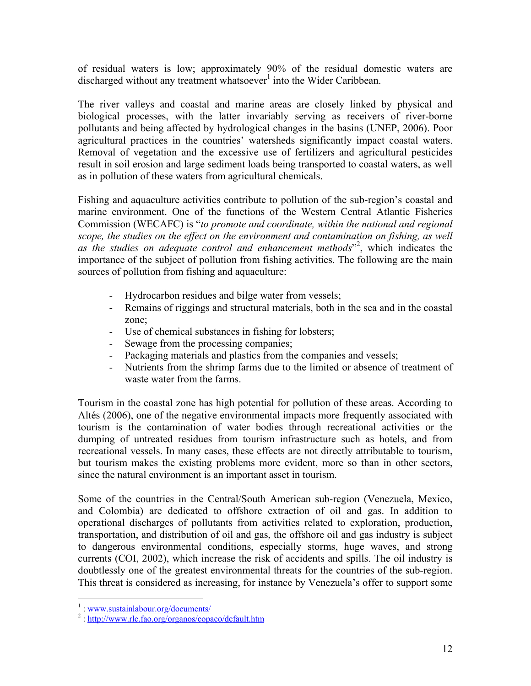of residual waters is low; approximately 90% of the residual domestic waters are discharged without any treatment whatsoever<sup>1</sup> into the Wider Caribbean.

The river valleys and coastal and marine areas are closely linked by physical and biological processes, with the latter invariably serving as receivers of river-borne pollutants and being affected by hydrological changes in the basins (UNEP, 2006). Poor agricultural practices in the countries' watersheds significantly impact coastal waters. Removal of vegetation and the excessive use of fertilizers and agricultural pesticides result in soil erosion and large sediment loads being transported to coastal waters, as well as in pollution of these waters from agricultural chemicals.

Fishing and aquaculture activities contribute to pollution of the sub-region's coastal and marine environment. One of the functions of the Western Central Atlantic Fisheries Commission (WECAFC) is "*to promote and coordinate, within the national and regional scope, the studies on the effect on the environment and contamination on fishing, as well as the studies on adequate control and enhancement methods*" 2 , which indicates the importance of the subject of pollution from fishing activities. The following are the main sources of pollution from fishing and aquaculture:

- Hydrocarbon residues and bilge water from vessels;
- Remains of riggings and structural materials, both in the sea and in the coastal zone;
- Use of chemical substances in fishing for lobsters;
- Sewage from the processing companies;
- Packaging materials and plastics from the companies and vessels;
- Nutrients from the shrimp farms due to the limited or absence of treatment of waste water from the farms.

Tourism in the coastal zone has high potential for pollution of these areas. According to Altés (2006), one of the negative environmental impacts more frequently associated with tourism is the contamination of water bodies through recreational activities or the dumping of untreated residues from tourism infrastructure such as hotels, and from recreational vessels. In many cases, these effects are not directly attributable to tourism, but tourism makes the existing problems more evident, more so than in other sectors, since the natural environment is an important asset in tourism.

Some of the countries in the Central/South American sub-region (Venezuela, Mexico, and Colombia) are dedicated to offshore extraction of oil and gas. In addition to operational discharges of pollutants from activities related to exploration, production, transportation, and distribution of oil and gas, the offshore oil and gas industry is subject to dangerous environmental conditions, especially storms, huge waves, and strong currents (COI, 2002), which increase the risk of accidents and spills. The oil industry is doubtlessly one of the greatest environmental threats for the countries of the sub-region. This threat is considered as increasing, for instance by Venezuela's offer to support some

<sup>&</sup>lt;sup>1</sup>: www.sustainlabour.org/documents/<br><sup>2</sup>: http://www.rls.fee.org/organes/come

 $\frac{1}{2}$ : http://www.rlc.fao.org/organos/copaco/default.htm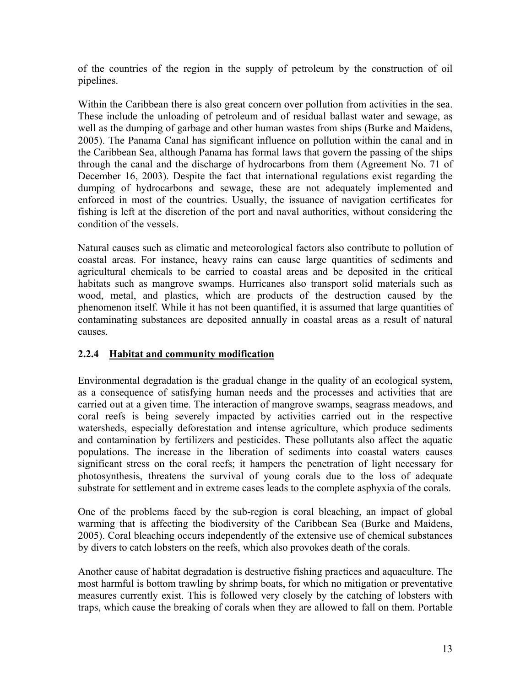of the countries of the region in the supply of petroleum by the construction of oil pipelines.

Within the Caribbean there is also great concern over pollution from activities in the sea. These include the unloading of petroleum and of residual ballast water and sewage, as well as the dumping of garbage and other human wastes from ships (Burke and Maidens, 2005). The Panama Canal has significant influence on pollution within the canal and in the Caribbean Sea, although Panama has formal laws that govern the passing of the ships through the canal and the discharge of hydrocarbons from them (Agreement No. 71 of December 16, 2003). Despite the fact that international regulations exist regarding the dumping of hydrocarbons and sewage, these are not adequately implemented and enforced in most of the countries. Usually, the issuance of navigation certificates for fishing is left at the discretion of the port and naval authorities, without considering the condition of the vessels.

Natural causes such as climatic and meteorological factors also contribute to pollution of coastal areas. For instance, heavy rains can cause large quantities of sediments and agricultural chemicals to be carried to coastal areas and be deposited in the critical habitats such as mangrove swamps. Hurricanes also transport solid materials such as wood, metal, and plastics, which are products of the destruction caused by the phenomenon itself. While it has not been quantified, it is assumed that large quantities of contaminating substances are deposited annually in coastal areas as a result of natural causes.

## **2.2.4 Habitat and community modification**

Environmental degradation is the gradual change in the quality of an ecological system, as a consequence of satisfying human needs and the processes and activities that are carried out at a given time. The interaction of mangrove swamps, seagrass meadows, and coral reefs is being severely impacted by activities carried out in the respective watersheds, especially deforestation and intense agriculture, which produce sediments and contamination by fertilizers and pesticides. These pollutants also affect the aquatic populations. The increase in the liberation of sediments into coastal waters causes significant stress on the coral reefs; it hampers the penetration of light necessary for photosynthesis, threatens the survival of young corals due to the loss of adequate substrate for settlement and in extreme cases leads to the complete asphyxia of the corals.

One of the problems faced by the sub-region is coral bleaching, an impact of global warming that is affecting the biodiversity of the Caribbean Sea (Burke and Maidens, 2005). Coral bleaching occurs independently of the extensive use of chemical substances by divers to catch lobsters on the reefs, which also provokes death of the corals.

Another cause of habitat degradation is destructive fishing practices and aquaculture. The most harmful is bottom trawling by shrimp boats, for which no mitigation or preventative measures currently exist. This is followed very closely by the catching of lobsters with traps, which cause the breaking of corals when they are allowed to fall on them. Portable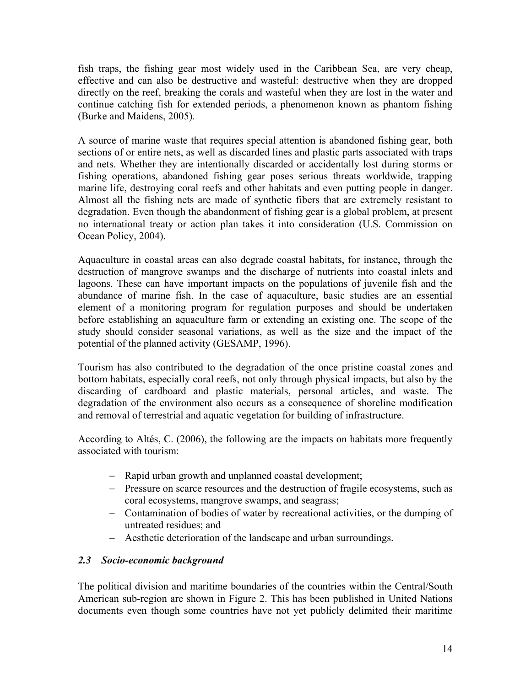fish traps, the fishing gear most widely used in the Caribbean Sea, are very cheap, effective and can also be destructive and wasteful: destructive when they are dropped directly on the reef, breaking the corals and wasteful when they are lost in the water and continue catching fish for extended periods, a phenomenon known as phantom fishing (Burke and Maidens, 2005).

A source of marine waste that requires special attention is abandoned fishing gear, both sections of or entire nets, as well as discarded lines and plastic parts associated with traps and nets. Whether they are intentionally discarded or accidentally lost during storms or fishing operations, abandoned fishing gear poses serious threats worldwide, trapping marine life, destroying coral reefs and other habitats and even putting people in danger. Almost all the fishing nets are made of synthetic fibers that are extremely resistant to degradation. Even though the abandonment of fishing gear is a global problem, at present no international treaty or action plan takes it into consideration (U.S. Commission on Ocean Policy, 2004).

Aquaculture in coastal areas can also degrade coastal habitats, for instance, through the destruction of mangrove swamps and the discharge of nutrients into coastal inlets and lagoons. These can have important impacts on the populations of juvenile fish and the abundance of marine fish. In the case of aquaculture, basic studies are an essential element of a monitoring program for regulation purposes and should be undertaken before establishing an aquaculture farm or extending an existing one. The scope of the study should consider seasonal variations, as well as the size and the impact of the potential of the planned activity (GESAMP, 1996).

Tourism has also contributed to the degradation of the once pristine coastal zones and bottom habitats, especially coral reefs, not only through physical impacts, but also by the discarding of cardboard and plastic materials, personal articles, and waste. The degradation of the environment also occurs as a consequence of shoreline modification and removal of terrestrial and aquatic vegetation for building of infrastructure.

According to Altés, C. (2006), the following are the impacts on habitats more frequently associated with tourism:

- − Rapid urban growth and unplanned coastal development;
- − Pressure on scarce resources and the destruction of fragile ecosystems, such as coral ecosystems, mangrove swamps, and seagrass;
- − Contamination of bodies of water by recreational activities, or the dumping of untreated residues; and
- − Aesthetic deterioration of the landscape and urban surroundings.

## *2.3 Socio-economic background*

The political division and maritime boundaries of the countries within the Central/South American sub-region are shown in Figure 2. This has been published in United Nations documents even though some countries have not yet publicly delimited their maritime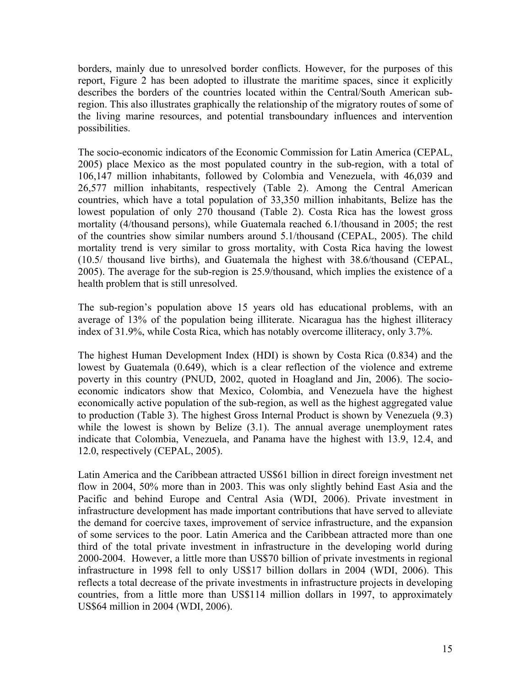borders, mainly due to unresolved border conflicts. However, for the purposes of this report, Figure 2 has been adopted to illustrate the maritime spaces, since it explicitly describes the borders of the countries located within the Central/South American subregion. This also illustrates graphically the relationship of the migratory routes of some of the living marine resources, and potential transboundary influences and intervention possibilities.

The socio-economic indicators of the Economic Commission for Latin America (CEPAL, 2005) place Mexico as the most populated country in the sub-region, with a total of 106,147 million inhabitants, followed by Colombia and Venezuela, with 46,039 and 26,577 million inhabitants, respectively (Table 2). Among the Central American countries, which have a total population of 33,350 million inhabitants, Belize has the lowest population of only 270 thousand (Table 2). Costa Rica has the lowest gross mortality (4/thousand persons), while Guatemala reached 6.1/thousand in 2005; the rest of the countries show similar numbers around 5.1/thousand (CEPAL, 2005). The child mortality trend is very similar to gross mortality, with Costa Rica having the lowest (10.5/ thousand live births), and Guatemala the highest with 38.6/thousand (CEPAL, 2005). The average for the sub-region is 25.9/thousand, which implies the existence of a health problem that is still unresolved.

The sub-region's population above 15 years old has educational problems, with an average of 13% of the population being illiterate. Nicaragua has the highest illiteracy index of 31.9%, while Costa Rica, which has notably overcome illiteracy, only 3.7%.

The highest Human Development Index (HDI) is shown by Costa Rica (0.834) and the lowest by Guatemala (0.649), which is a clear reflection of the violence and extreme poverty in this country (PNUD, 2002, quoted in Hoagland and Jin, 2006). The socioeconomic indicators show that Mexico, Colombia, and Venezuela have the highest economically active population of the sub-region, as well as the highest aggregated value to production (Table 3). The highest Gross Internal Product is shown by Venezuela (9.3) while the lowest is shown by Belize  $(3.1)$ . The annual average unemployment rates indicate that Colombia, Venezuela, and Panama have the highest with 13.9, 12.4, and 12.0, respectively (CEPAL, 2005).

Latin America and the Caribbean attracted US\$61 billion in direct foreign investment net flow in 2004, 50% more than in 2003. This was only slightly behind East Asia and the Pacific and behind Europe and Central Asia (WDI, 2006). Private investment in infrastructure development has made important contributions that have served to alleviate the demand for coercive taxes, improvement of service infrastructure, and the expansion of some services to the poor. Latin America and the Caribbean attracted more than one third of the total private investment in infrastructure in the developing world during 2000-2004. However, a little more than US\$70 billion of private investments in regional infrastructure in 1998 fell to only US\$17 billion dollars in 2004 (WDI, 2006). This reflects a total decrease of the private investments in infrastructure projects in developing countries, from a little more than US\$114 million dollars in 1997, to approximately US\$64 million in 2004 (WDI, 2006).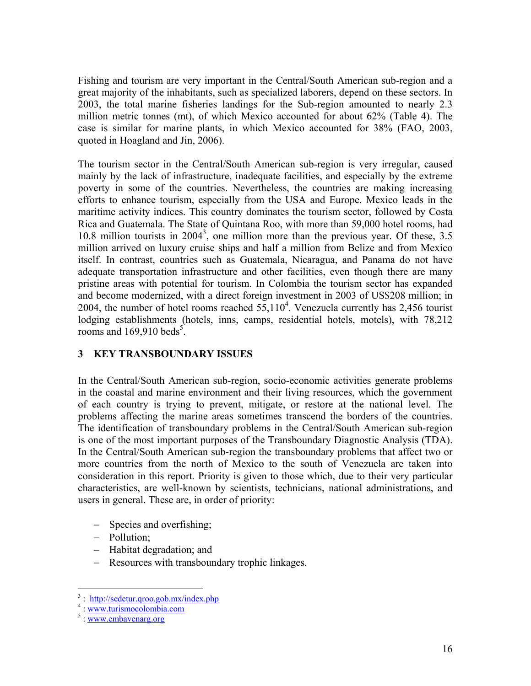Fishing and tourism are very important in the Central/South American sub-region and a great majority of the inhabitants, such as specialized laborers, depend on these sectors. In 2003, the total marine fisheries landings for the Sub-region amounted to nearly 2.3 million metric tonnes (mt), of which Mexico accounted for about 62% (Table 4). The case is similar for marine plants, in which Mexico accounted for 38% (FAO, 2003, quoted in Hoagland and Jin, 2006).

The tourism sector in the Central/South American sub-region is very irregular, caused mainly by the lack of infrastructure, inadequate facilities, and especially by the extreme poverty in some of the countries. Nevertheless, the countries are making increasing efforts to enhance tourism, especially from the USA and Europe. Mexico leads in the maritime activity indices. This country dominates the tourism sector, followed by Costa Rica and Guatemala. The State of Quintana Roo, with more than 59,000 hotel rooms, had 10.8 million tourists in  $2004<sup>3</sup>$ , one million more than the previous year. Of these, 3.5 million arrived on luxury cruise ships and half a million from Belize and from Mexico itself. In contrast, countries such as Guatemala, Nicaragua, and Panama do not have adequate transportation infrastructure and other facilities, even though there are many pristine areas with potential for tourism. In Colombia the tourism sector has expanded and become modernized, with a direct foreign investment in 2003 of US\$208 million; in 2004, the number of hotel rooms reached  $55,110^4$ . Venezuela currently has 2,456 tourist lodging establishments (hotels, inns, camps, residential hotels, motels), with 78,212 rooms and  $169,910$  beds<sup>5</sup>.

## **3 KEY TRANSBOUNDARY ISSUES**

In the Central/South American sub-region, socio-economic activities generate problems in the coastal and marine environment and their living resources, which the government of each country is trying to prevent, mitigate, or restore at the national level. The problems affecting the marine areas sometimes transcend the borders of the countries. The identification of transboundary problems in the Central/South American sub-region is one of the most important purposes of the Transboundary Diagnostic Analysis (TDA). In the Central/South American sub-region the transboundary problems that affect two or more countries from the north of Mexico to the south of Venezuela are taken into consideration in this report. Priority is given to those which, due to their very particular characteristics, are well-known by scientists, technicians, national administrations, and users in general. These are, in order of priority:

- − Species and overfishing;
- − Pollution;
- − Habitat degradation; and
- − Resources with transboundary trophic linkages.

 $\frac{3}{4}$ : http://sedetur.qroo.gob.mx/index.php<br> $\frac{4}{4}$ : www.tyrismeselembia.com

<sup>&</sup>lt;sup>4</sup>: www.turismocolombia.com

<sup>&</sup>lt;sup>5</sup>: www.embavenarg.org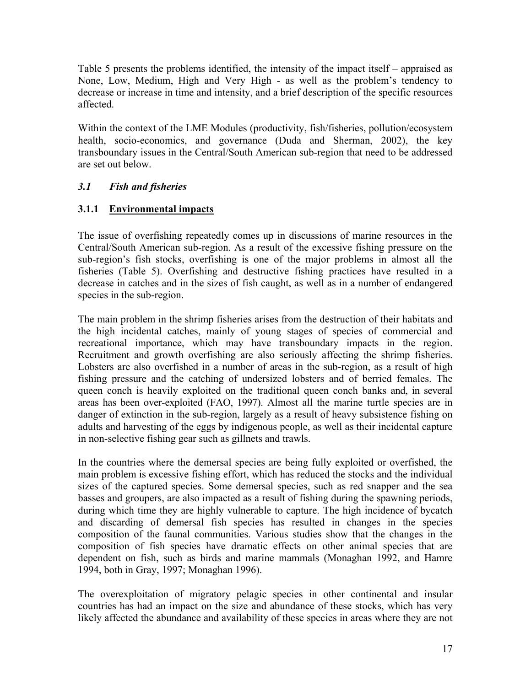Table 5 presents the problems identified, the intensity of the impact itself – appraised as None, Low, Medium, High and Very High - as well as the problem's tendency to decrease or increase in time and intensity, and a brief description of the specific resources affected.

Within the context of the LME Modules (productivity, fish/fisheries, pollution/ecosystem health, socio-economics, and governance (Duda and Sherman, 2002), the key transboundary issues in the Central/South American sub-region that need to be addressed are set out below.

# *3.1 Fish and fisheries*

# **3.1.1 Environmental impacts**

The issue of overfishing repeatedly comes up in discussions of marine resources in the Central/South American sub-region. As a result of the excessive fishing pressure on the sub-region's fish stocks, overfishing is one of the major problems in almost all the fisheries (Table 5). Overfishing and destructive fishing practices have resulted in a decrease in catches and in the sizes of fish caught, as well as in a number of endangered species in the sub-region.

The main problem in the shrimp fisheries arises from the destruction of their habitats and the high incidental catches, mainly of young stages of species of commercial and recreational importance, which may have transboundary impacts in the region. Recruitment and growth overfishing are also seriously affecting the shrimp fisheries. Lobsters are also overfished in a number of areas in the sub-region, as a result of high fishing pressure and the catching of undersized lobsters and of berried females. The queen conch is heavily exploited on the traditional queen conch banks and, in several areas has been over-exploited (FAO, 1997). Almost all the marine turtle species are in danger of extinction in the sub-region, largely as a result of heavy subsistence fishing on adults and harvesting of the eggs by indigenous people, as well as their incidental capture in non-selective fishing gear such as gillnets and trawls.

In the countries where the demersal species are being fully exploited or overfished, the main problem is excessive fishing effort, which has reduced the stocks and the individual sizes of the captured species. Some demersal species, such as red snapper and the sea basses and groupers, are also impacted as a result of fishing during the spawning periods, during which time they are highly vulnerable to capture. The high incidence of bycatch and discarding of demersal fish species has resulted in changes in the species composition of the faunal communities. Various studies show that the changes in the composition of fish species have dramatic effects on other animal species that are dependent on fish, such as birds and marine mammals (Monaghan 1992, and Hamre 1994, both in Gray, 1997; Monaghan 1996).

The overexploitation of migratory pelagic species in other continental and insular countries has had an impact on the size and abundance of these stocks, which has very likely affected the abundance and availability of these species in areas where they are not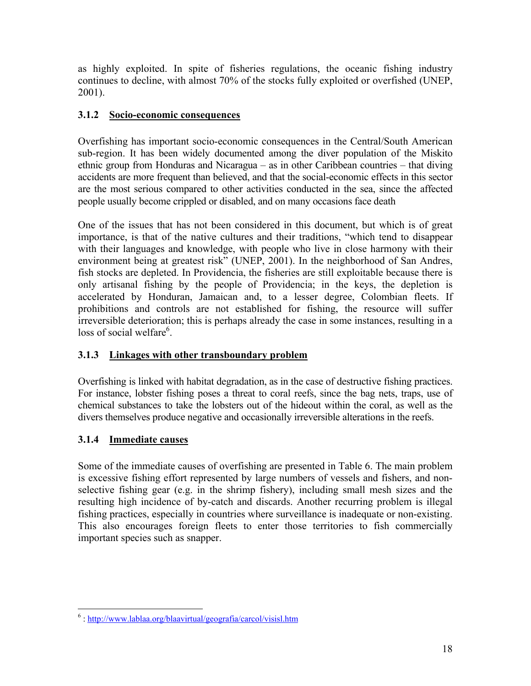as highly exploited. In spite of fisheries regulations, the oceanic fishing industry continues to decline, with almost 70% of the stocks fully exploited or overfished (UNEP, 2001).

# **3.1.2 Socio-economic consequences**

Overfishing has important socio-economic consequences in the Central/South American sub-region. It has been widely documented among the diver population of the Miskito ethnic group from Honduras and Nicaragua – as in other Caribbean countries – that diving accidents are more frequent than believed, and that the social-economic effects in this sector are the most serious compared to other activities conducted in the sea, since the affected people usually become crippled or disabled, and on many occasions face death

One of the issues that has not been considered in this document, but which is of great importance, is that of the native cultures and their traditions, "which tend to disappear with their languages and knowledge, with people who live in close harmony with their environment being at greatest risk" (UNEP, 2001). In the neighborhood of San Andres, fish stocks are depleted. In Providencia, the fisheries are still exploitable because there is only artisanal fishing by the people of Providencia; in the keys, the depletion is accelerated by Honduran, Jamaican and, to a lesser degree, Colombian fleets. If prohibitions and controls are not established for fishing, the resource will suffer irreversible deterioration; this is perhaps already the case in some instances, resulting in a loss of social welfare<sup>6</sup>.

# **3.1.3 Linkages with other transboundary problem**

Overfishing is linked with habitat degradation, as in the case of destructive fishing practices. For instance, lobster fishing poses a threat to coral reefs, since the bag nets, traps, use of chemical substances to take the lobsters out of the hideout within the coral, as well as the divers themselves produce negative and occasionally irreversible alterations in the reefs.

# **3.1.4 Immediate causes**

 $\overline{a}$ 

Some of the immediate causes of overfishing are presented in Table 6. The main problem is excessive fishing effort represented by large numbers of vessels and fishers, and nonselective fishing gear (e.g. in the shrimp fishery), including small mesh sizes and the resulting high incidence of by-catch and discards. Another recurring problem is illegal fishing practices, especially in countries where surveillance is inadequate or non-existing. This also encourages foreign fleets to enter those territories to fish commercially important species such as snapper.

<sup>&</sup>lt;sup>6</sup>: http://www.lablaa.org/blaavirtual/geografia/carcol/visisl.htm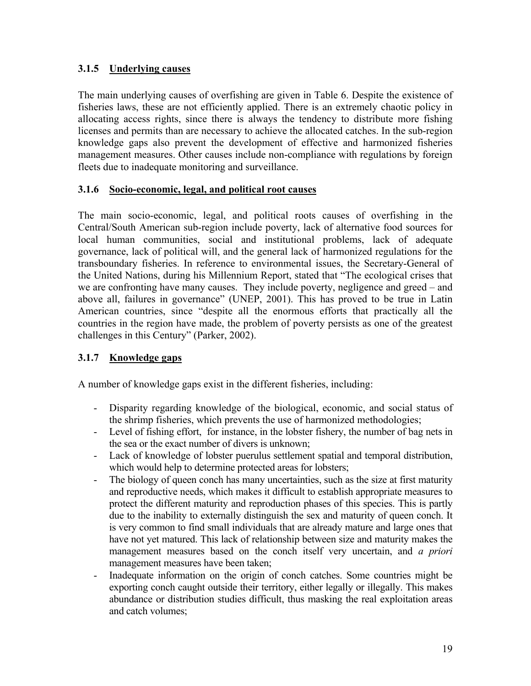# **3.1.5 Underlying causes**

The main underlying causes of overfishing are given in Table 6. Despite the existence of fisheries laws, these are not efficiently applied. There is an extremely chaotic policy in allocating access rights, since there is always the tendency to distribute more fishing licenses and permits than are necessary to achieve the allocated catches. In the sub-region knowledge gaps also prevent the development of effective and harmonized fisheries management measures. Other causes include non-compliance with regulations by foreign fleets due to inadequate monitoring and surveillance.

## **3.1.6 Socio-economic, legal, and political root causes**

The main socio-economic, legal, and political roots causes of overfishing in the Central/South American sub-region include poverty, lack of alternative food sources for local human communities, social and institutional problems, lack of adequate governance, lack of political will, and the general lack of harmonized regulations for the transboundary fisheries. In reference to environmental issues, the Secretary-General of the United Nations, during his Millennium Report, stated that "The ecological crises that we are confronting have many causes. They include poverty, negligence and greed – and above all, failures in governance" (UNEP, 2001). This has proved to be true in Latin American countries, since "despite all the enormous efforts that practically all the countries in the region have made, the problem of poverty persists as one of the greatest challenges in this Century" (Parker, 2002).

## **3.1.7 Knowledge gaps**

A number of knowledge gaps exist in the different fisheries, including:

- Disparity regarding knowledge of the biological, economic, and social status of the shrimp fisheries, which prevents the use of harmonized methodologies;
- Level of fishing effort, for instance, in the lobster fishery, the number of bag nets in the sea or the exact number of divers is unknown;
- Lack of knowledge of lobster puerulus settlement spatial and temporal distribution, which would help to determine protected areas for lobsters;
- The biology of queen conch has many uncertainties, such as the size at first maturity and reproductive needs, which makes it difficult to establish appropriate measures to protect the different maturity and reproduction phases of this species. This is partly due to the inability to externally distinguish the sex and maturity of queen conch. It is very common to find small individuals that are already mature and large ones that have not yet matured. This lack of relationship between size and maturity makes the management measures based on the conch itself very uncertain, and *a priori* management measures have been taken;
- Inadequate information on the origin of conch catches. Some countries might be exporting conch caught outside their territory, either legally or illegally. This makes abundance or distribution studies difficult, thus masking the real exploitation areas and catch volumes;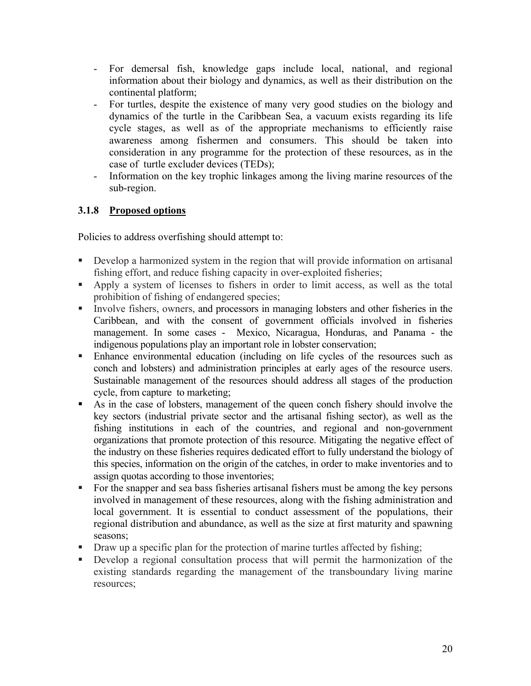- For demersal fish, knowledge gaps include local, national, and regional information about their biology and dynamics, as well as their distribution on the continental platform;
- For turtles, despite the existence of many very good studies on the biology and dynamics of the turtle in the Caribbean Sea, a vacuum exists regarding its life cycle stages, as well as of the appropriate mechanisms to efficiently raise awareness among fishermen and consumers. This should be taken into consideration in any programme for the protection of these resources, as in the case of turtle excluder devices (TEDs);
- Information on the key trophic linkages among the living marine resources of the sub-region.

# **3.1.8 Proposed options**

Policies to address overfishing should attempt to:

- Develop a harmonized system in the region that will provide information on artisanal fishing effort, and reduce fishing capacity in over-exploited fisheries;
- Apply a system of licenses to fishers in order to limit access, as well as the total prohibition of fishing of endangered species;
- Involve fishers, owners, and processors in managing lobsters and other fisheries in the Caribbean, and with the consent of government officials involved in fisheries management. In some cases - Mexico, Nicaragua, Honduras, and Panama - the indigenous populations play an important role in lobster conservation;
- Enhance environmental education (including on life cycles of the resources such as conch and lobsters) and administration principles at early ages of the resource users. Sustainable management of the resources should address all stages of the production cycle, from capture to marketing;
- As in the case of lobsters, management of the queen conch fishery should involve the key sectors (industrial private sector and the artisanal fishing sector), as well as the fishing institutions in each of the countries, and regional and non-government organizations that promote protection of this resource. Mitigating the negative effect of the industry on these fisheries requires dedicated effort to fully understand the biology of this species, information on the origin of the catches, in order to make inventories and to assign quotas according to those inventories;
- For the snapper and sea bass fisheries artisanal fishers must be among the key persons involved in management of these resources, along with the fishing administration and local government. It is essential to conduct assessment of the populations, their regional distribution and abundance, as well as the size at first maturity and spawning seasons;
- Draw up a specific plan for the protection of marine turtles affected by fishing;
- Develop a regional consultation process that will permit the harmonization of the existing standards regarding the management of the transboundary living marine resources;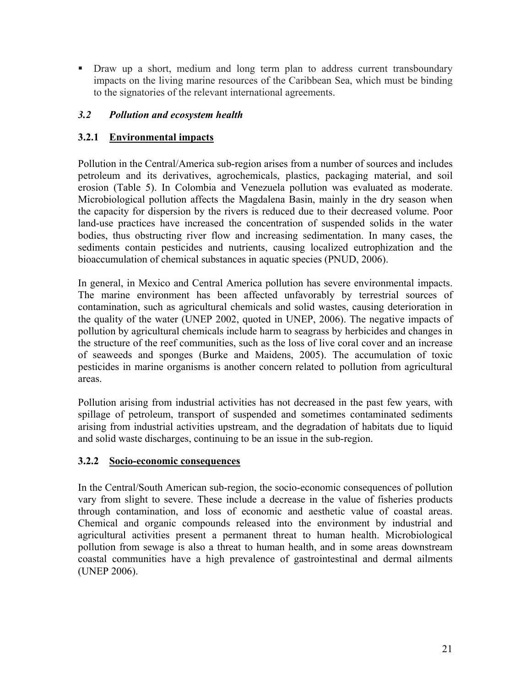Draw up a short, medium and long term plan to address current transboundary impacts on the living marine resources of the Caribbean Sea, which must be binding to the signatories of the relevant international agreements.

# *3.2 Pollution and ecosystem health*

# **3.2.1 Environmental impacts**

Pollution in the Central/America sub-region arises from a number of sources and includes petroleum and its derivatives, agrochemicals, plastics, packaging material, and soil erosion (Table 5). In Colombia and Venezuela pollution was evaluated as moderate. Microbiological pollution affects the Magdalena Basin, mainly in the dry season when the capacity for dispersion by the rivers is reduced due to their decreased volume. Poor land-use practices have increased the concentration of suspended solids in the water bodies, thus obstructing river flow and increasing sedimentation. In many cases, the sediments contain pesticides and nutrients, causing localized eutrophization and the bioaccumulation of chemical substances in aquatic species (PNUD, 2006).

In general, in Mexico and Central America pollution has severe environmental impacts. The marine environment has been affected unfavorably by terrestrial sources of contamination, such as agricultural chemicals and solid wastes, causing deterioration in the quality of the water (UNEP 2002, quoted in UNEP, 2006). The negative impacts of pollution by agricultural chemicals include harm to seagrass by herbicides and changes in the structure of the reef communities, such as the loss of live coral cover and an increase of seaweeds and sponges (Burke and Maidens, 2005). The accumulation of toxic pesticides in marine organisms is another concern related to pollution from agricultural areas.

Pollution arising from industrial activities has not decreased in the past few years, with spillage of petroleum, transport of suspended and sometimes contaminated sediments arising from industrial activities upstream, and the degradation of habitats due to liquid and solid waste discharges, continuing to be an issue in the sub-region.

## **3.2.2 Socio-economic consequences**

In the Central/South American sub-region, the socio-economic consequences of pollution vary from slight to severe. These include a decrease in the value of fisheries products through contamination, and loss of economic and aesthetic value of coastal areas. Chemical and organic compounds released into the environment by industrial and agricultural activities present a permanent threat to human health. Microbiological pollution from sewage is also a threat to human health, and in some areas downstream coastal communities have a high prevalence of gastrointestinal and dermal ailments (UNEP 2006).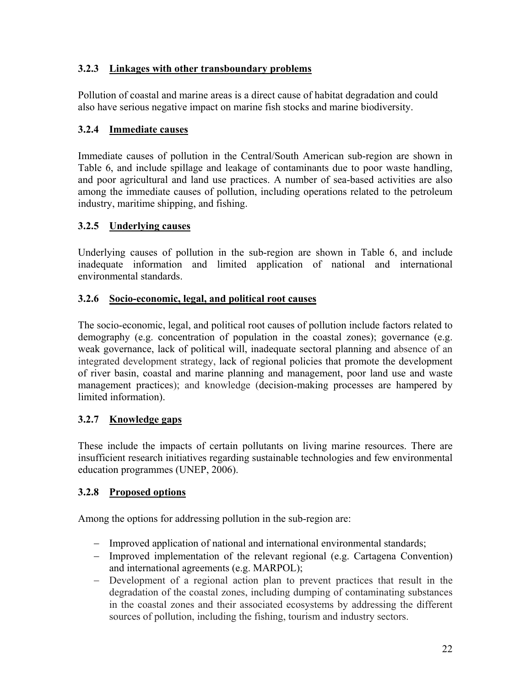# **3.2.3 Linkages with other transboundary problems**

Pollution of coastal and marine areas is a direct cause of habitat degradation and could also have serious negative impact on marine fish stocks and marine biodiversity.

# **3.2.4 Immediate causes**

Immediate causes of pollution in the Central/South American sub-region are shown in Table 6, and include spillage and leakage of contaminants due to poor waste handling, and poor agricultural and land use practices. A number of sea-based activities are also among the immediate causes of pollution, including operations related to the petroleum industry, maritime shipping, and fishing.

# **3.2.5 Underlying causes**

Underlying causes of pollution in the sub-region are shown in Table 6, and include inadequate information and limited application of national and international environmental standards.

# **3.2.6 Socio-economic, legal, and political root causes**

The socio-economic, legal, and political root causes of pollution include factors related to demography (e.g. concentration of population in the coastal zones); governance (e.g. weak governance, lack of political will, inadequate sectoral planning and absence of an integrated development strategy, lack of regional policies that promote the development of river basin, coastal and marine planning and management, poor land use and waste management practices); and knowledge (decision-making processes are hampered by limited information).

# **3.2.7 Knowledge gaps**

These include the impacts of certain pollutants on living marine resources. There are insufficient research initiatives regarding sustainable technologies and few environmental education programmes (UNEP, 2006).

# **3.2.8 Proposed options**

Among the options for addressing pollution in the sub-region are:

- − Improved application of national and international environmental standards;
- − Improved implementation of the relevant regional (e.g. Cartagena Convention) and international agreements (e.g. MARPOL);
- − Development of a regional action plan to prevent practices that result in the degradation of the coastal zones, including dumping of contaminating substances in the coastal zones and their associated ecosystems by addressing the different sources of pollution, including the fishing, tourism and industry sectors.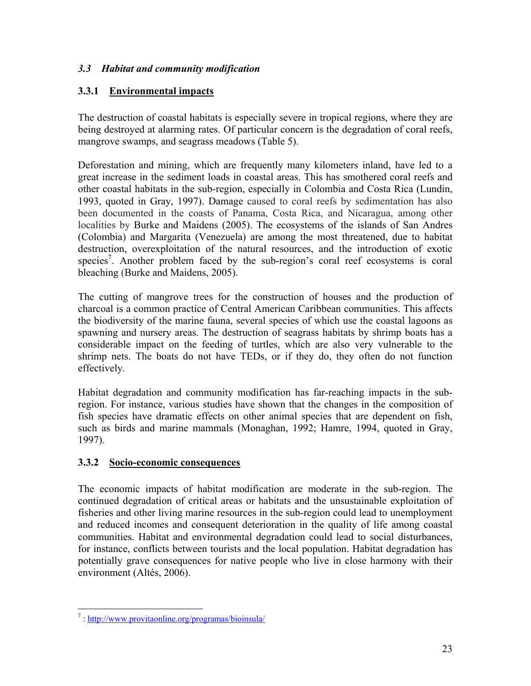# *3.3 Habitat and community modification*

# **3.3.1 Environmental impacts**

The destruction of coastal habitats is especially severe in tropical regions, where they are being destroyed at alarming rates. Of particular concern is the degradation of coral reefs, mangrove swamps, and seagrass meadows (Table 5).

Deforestation and mining, which are frequently many kilometers inland, have led to a great increase in the sediment loads in coastal areas. This has smothered coral reefs and other coastal habitats in the sub-region, especially in Colombia and Costa Rica (Lundin, 1993, quoted in Gray, 1997). Damage caused to coral reefs by sedimentation has also been documented in the coasts of Panama, Costa Rica, and Nicaragua, among other localities by Burke and Maidens (2005). The ecosystems of the islands of San Andres (Colombia) and Margarita (Venezuela) are among the most threatened, due to habitat destruction, overexploitation of the natural resources, and the introduction of exotic species<sup>7</sup>. Another problem faced by the sub-region's coral reef ecosystems is coral bleaching (Burke and Maidens, 2005).

The cutting of mangrove trees for the construction of houses and the production of charcoal is a common practice of Central American Caribbean communities. This affects the biodiversity of the marine fauna, several species of which use the coastal lagoons as spawning and nursery areas. The destruction of seagrass habitats by shrimp boats has a considerable impact on the feeding of turtles, which are also very vulnerable to the shrimp nets. The boats do not have TEDs, or if they do, they often do not function effectively.

Habitat degradation and community modification has far-reaching impacts in the subregion. For instance, various studies have shown that the changes in the composition of fish species have dramatic effects on other animal species that are dependent on fish, such as birds and marine mammals (Monaghan, 1992; Hamre, 1994, quoted in Gray, 1997).

## **3.3.2 Socio-economic consequences**

The economic impacts of habitat modification are moderate in the sub-region. The continued degradation of critical areas or habitats and the unsustainable exploitation of fisheries and other living marine resources in the sub-region could lead to unemployment and reduced incomes and consequent deterioration in the quality of life among coastal communities. Habitat and environmental degradation could lead to social disturbances, for instance, conflicts between tourists and the local population. Habitat degradation has potentially grave consequences for native people who live in close harmony with their environment (Altés, 2006).

<sup>&</sup>lt;sup>7</sup>: http://www.provitaonline.org/programas/bioinsula/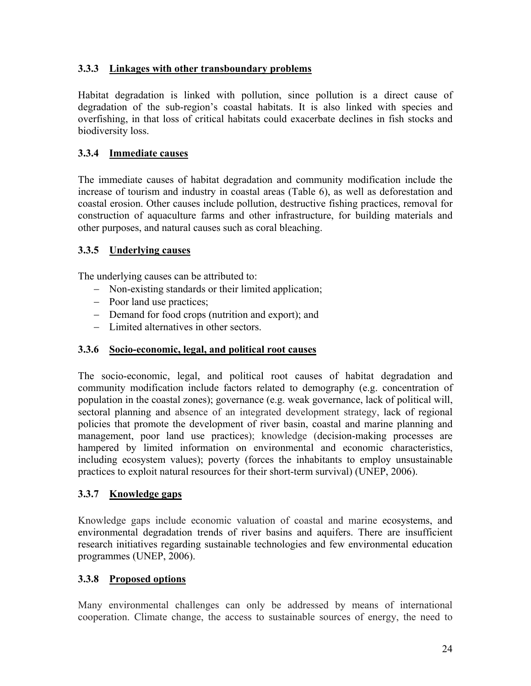# **3.3.3 Linkages with other transboundary problems**

Habitat degradation is linked with pollution, since pollution is a direct cause of degradation of the sub-region's coastal habitats. It is also linked with species and overfishing, in that loss of critical habitats could exacerbate declines in fish stocks and biodiversity loss.

# **3.3.4 Immediate causes**

The immediate causes of habitat degradation and community modification include the increase of tourism and industry in coastal areas (Table 6), as well as deforestation and coastal erosion. Other causes include pollution, destructive fishing practices, removal for construction of aquaculture farms and other infrastructure, for building materials and other purposes, and natural causes such as coral bleaching.

# **3.3.5 Underlying causes**

The underlying causes can be attributed to:

- − Non-existing standards or their limited application;
- − Poor land use practices;
- − Demand for food crops (nutrition and export); and
- − Limited alternatives in other sectors.

## **3.3.6 Socio-economic, legal, and political root causes**

The socio-economic, legal, and political root causes of habitat degradation and community modification include factors related to demography (e.g. concentration of population in the coastal zones); governance (e.g. weak governance, lack of political will, sectoral planning and absence of an integrated development strategy, lack of regional policies that promote the development of river basin, coastal and marine planning and management, poor land use practices); knowledge (decision-making processes are hampered by limited information on environmental and economic characteristics, including ecosystem values); poverty (forces the inhabitants to employ unsustainable practices to exploit natural resources for their short-term survival) (UNEP, 2006).

## **3.3.7 Knowledge gaps**

Knowledge gaps include economic valuation of coastal and marine ecosystems, and environmental degradation trends of river basins and aquifers. There are insufficient research initiatives regarding sustainable technologies and few environmental education programmes (UNEP, 2006).

## **3.3.8 Proposed options**

Many environmental challenges can only be addressed by means of international cooperation. Climate change, the access to sustainable sources of energy, the need to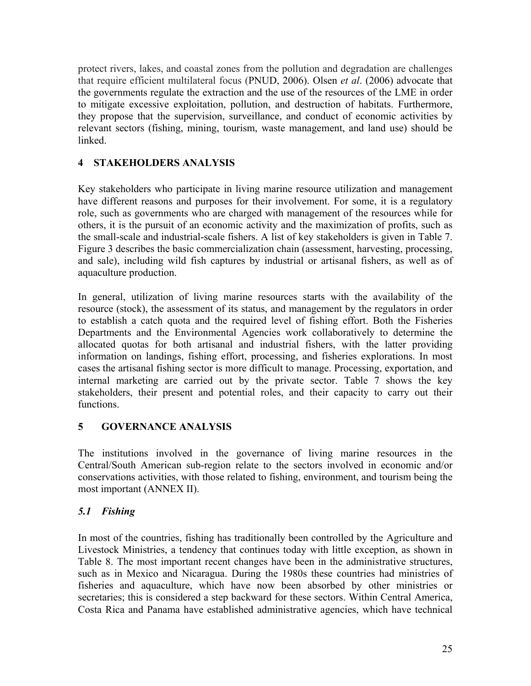protect rivers, lakes, and coastal zones from the pollution and degradation are challenges that require efficient multilateral focus (PNUD, 2006). Olsen *et al*. (2006) advocate that the governments regulate the extraction and the use of the resources of the LME in order to mitigate excessive exploitation, pollution, and destruction of habitats. Furthermore, they propose that the supervision, surveillance, and conduct of economic activities by relevant sectors (fishing, mining, tourism, waste management, and land use) should be linked.

# **4 STAKEHOLDERS ANALYSIS**

Key stakeholders who participate in living marine resource utilization and management have different reasons and purposes for their involvement. For some, it is a regulatory role, such as governments who are charged with management of the resources while for others, it is the pursuit of an economic activity and the maximization of profits, such as the small-scale and industrial-scale fishers. A list of key stakeholders is given in Table 7. Figure 3 describes the basic commercialization chain (assessment, harvesting, processing, and sale), including wild fish captures by industrial or artisanal fishers, as well as of aquaculture production.

In general, utilization of living marine resources starts with the availability of the resource (stock), the assessment of its status, and management by the regulators in order to establish a catch quota and the required level of fishing effort. Both the Fisheries Departments and the Environmental Agencies work collaboratively to determine the allocated quotas for both artisanal and industrial fishers, with the latter providing information on landings, fishing effort, processing, and fisheries explorations. In most cases the artisanal fishing sector is more difficult to manage. Processing, exportation, and internal marketing are carried out by the private sector. Table 7 shows the key stakeholders, their present and potential roles, and their capacity to carry out their functions.

## **5 GOVERNANCE ANALYSIS**

The institutions involved in the governance of living marine resources in the Central/South American sub-region relate to the sectors involved in economic and/or conservations activities, with those related to fishing, environment, and tourism being the most important (ANNEX II).

## *5.1 Fishing*

In most of the countries, fishing has traditionally been controlled by the Agriculture and Livestock Ministries, a tendency that continues today with little exception, as shown in Table 8. The most important recent changes have been in the administrative structures, such as in Mexico and Nicaragua. During the 1980s these countries had ministries of fisheries and aquaculture, which have now been absorbed by other ministries or secretaries; this is considered a step backward for these sectors. Within Central America, Costa Rica and Panama have established administrative agencies, which have technical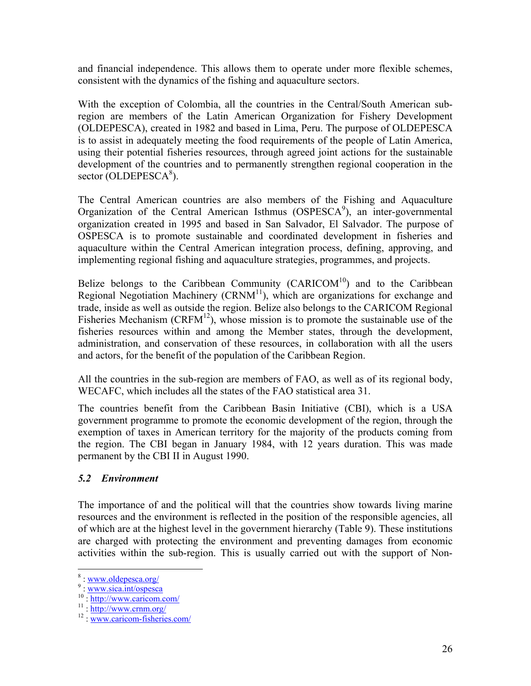and financial independence. This allows them to operate under more flexible schemes, consistent with the dynamics of the fishing and aquaculture sectors.

With the exception of Colombia, all the countries in the Central/South American subregion are members of the Latin American Organization for Fishery Development (OLDEPESCA), created in 1982 and based in Lima, Peru. The purpose of OLDEPESCA is to assist in adequately meeting the food requirements of the people of Latin America, using their potential fisheries resources, through agreed joint actions for the sustainable development of the countries and to permanently strengthen regional cooperation in the sector (OLDEPESCA $8$ ).

The Central American countries are also members of the Fishing and Aquaculture Organization of the Central American Isthmus  $(OSPESCA<sup>9</sup>)$ , an inter-governmental organization created in 1995 and based in San Salvador, El Salvador. The purpose of OSPESCA is to promote sustainable and coordinated development in fisheries and aquaculture within the Central American integration process, defining, approving, and implementing regional fishing and aquaculture strategies, programmes, and projects.

Belize belongs to the Caribbean Community  $(CARICOM<sup>10</sup>)$  and to the Caribbean Regional Negotiation Machinery  $(CRNM<sup>11</sup>)$ , which are organizations for exchange and trade, inside as well as outside the region. Belize also belongs to the CARICOM Regional Fisheries Mechanism (CRFM<sup>12</sup>), whose mission is to promote the sustainable use of the fisheries resources within and among the Member states, through the development, administration, and conservation of these resources, in collaboration with all the users and actors, for the benefit of the population of the Caribbean Region.

All the countries in the sub-region are members of FAO, as well as of its regional body, WECAFC, which includes all the states of the FAO statistical area 31.

The countries benefit from the Caribbean Basin Initiative (CBI), which is a USA government programme to promote the economic development of the region, through the exemption of taxes in American territory for the majority of the products coming from the region. The CBI began in January 1984, with 12 years duration. This was made permanent by the CBI II in August 1990.

## *5.2 Environment*

The importance of and the political will that the countries show towards living marine resources and the environment is reflected in the position of the responsible agencies, all of which are at the highest level in the government hierarchy (Table 9). These institutions are charged with protecting the environment and preventing damages from economic activities within the sub-region. This is usually carried out with the support of Non-

 $\frac{8}{9}$ : www.oldepesca.org/

<sup>&</sup>lt;sup>9</sup>: www.sica.int/ospesca<br>
<sup>10</sup> : http://www.caricom.com/<br>
<sup>11</sup> : http://www.crnm.org/<br>
<sup>12</sup> : www.caricom-fisheries.com/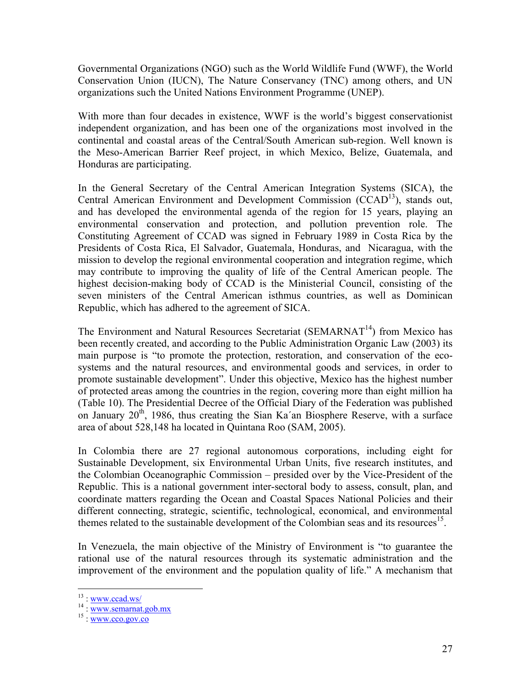Governmental Organizations (NGO) such as the World Wildlife Fund (WWF), the World Conservation Union (IUCN), The Nature Conservancy (TNC) among others, and UN organizations such the United Nations Environment Programme (UNEP).

With more than four decades in existence, WWF is the world's biggest conservationist independent organization, and has been one of the organizations most involved in the continental and coastal areas of the Central/South American sub-region. Well known is the Meso-American Barrier Reef project, in which Mexico, Belize, Guatemala, and Honduras are participating.

In the General Secretary of the Central American Integration Systems (SICA), the Central American Environment and Development Commission  $(CCAD<sup>13</sup>)$ , stands out, and has developed the environmental agenda of the region for 15 years, playing an environmental conservation and protection, and pollution prevention role. The Constituting Agreement of CCAD was signed in February 1989 in Costa Rica by the Presidents of Costa Rica, El Salvador, Guatemala, Honduras, and Nicaragua, with the mission to develop the regional environmental cooperation and integration regime, which may contribute to improving the quality of life of the Central American people. The highest decision-making body of CCAD is the Ministerial Council, consisting of the seven ministers of the Central American isthmus countries, as well as Dominican Republic, which has adhered to the agreement of SICA.

The Environment and Natural Resources Secretariat (SEMARNAT $<sup>14</sup>$ ) from Mexico has</sup> been recently created, and according to the Public Administration Organic Law (2003) its main purpose is "to promote the protection, restoration, and conservation of the ecosystems and the natural resources, and environmental goods and services, in order to promote sustainable development". Under this objective, Mexico has the highest number of protected areas among the countries in the region, covering more than eight million ha (Table 10). The Presidential Decree of the Official Diary of the Federation was published on January  $20<sup>th</sup>$ , 1986, thus creating the Sian Ka'an Biosphere Reserve, with a surface area of about 528,148 ha located in Quintana Roo (SAM, 2005).

In Colombia there are 27 regional autonomous corporations, including eight for Sustainable Development, six Environmental Urban Units, five research institutes, and the Colombian Oceanographic Commission – presided over by the Vice-President of the Republic. This is a national government inter-sectoral body to assess, consult, plan, and coordinate matters regarding the Ocean and Coastal Spaces National Policies and their different connecting, strategic, scientific, technological, economical, and environmental themes related to the sustainable development of the Colombian seas and its resources<sup>15</sup>.

In Venezuela, the main objective of the Ministry of Environment is "to guarantee the rational use of the natural resources through its systematic administration and the improvement of the environment and the population quality of life." A mechanism that

 $13:$  www.ccad.ws/

 $14 : www.semarnat.gov.mx  
 $15 : www.cco.gov.co$$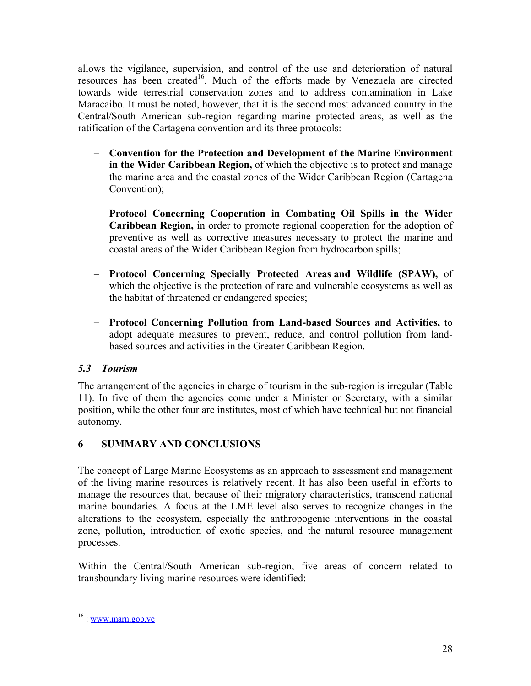allows the vigilance, supervision, and control of the use and deterioration of natural resources has been created<sup>16</sup>. Much of the efforts made by Venezuela are directed towards wide terrestrial conservation zones and to address contamination in Lake Maracaibo. It must be noted, however, that it is the second most advanced country in the Central/South American sub-region regarding marine protected areas, as well as the ratification of the Cartagena convention and its three protocols:

- − **Convention for the Protection and Development of the Marine Environment in the Wider Caribbean Region,** of which the objective is to protect and manage the marine area and the coastal zones of the Wider Caribbean Region (Cartagena Convention);
- − **Protocol Concerning Cooperation in Combating Oil Spills in the Wider Caribbean Region,** in order to promote regional cooperation for the adoption of preventive as well as corrective measures necessary to protect the marine and coastal areas of the Wider Caribbean Region from hydrocarbon spills;
- − **Protocol Concerning Specially Protected Areas and Wildlife (SPAW),** of which the objective is the protection of rare and vulnerable ecosystems as well as the habitat of threatened or endangered species;
- − **Protocol Concerning Pollution from Land-based Sources and Activities,** to adopt adequate measures to prevent, reduce, and control pollution from landbased sources and activities in the Greater Caribbean Region.

# *5.3 Tourism*

The arrangement of the agencies in charge of tourism in the sub-region is irregular (Table 11). In five of them the agencies come under a Minister or Secretary, with a similar position, while the other four are institutes, most of which have technical but not financial autonomy.

# **6 SUMMARY AND CONCLUSIONS**

The concept of Large Marine Ecosystems as an approach to assessment and management of the living marine resources is relatively recent. It has also been useful in efforts to manage the resources that, because of their migratory characteristics, transcend national marine boundaries. A focus at the LME level also serves to recognize changes in the alterations to the ecosystem, especially the anthropogenic interventions in the coastal zone, pollution, introduction of exotic species, and the natural resource management processes.

Within the Central/South American sub-region, five areas of concern related to transboundary living marine resources were identified:

 $\overline{a}$ 

 $16:$  www.marn.gob.ve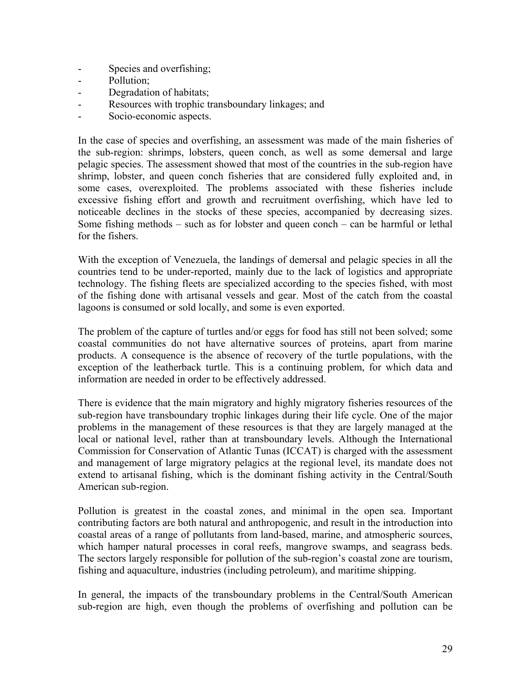- Species and overfishing;
- Pollution;
- Degradation of habitats;
- Resources with trophic transboundary linkages; and
- Socio-economic aspects.

In the case of species and overfishing, an assessment was made of the main fisheries of the sub-region: shrimps, lobsters, queen conch, as well as some demersal and large pelagic species. The assessment showed that most of the countries in the sub-region have shrimp, lobster, and queen conch fisheries that are considered fully exploited and, in some cases, overexploited. The problems associated with these fisheries include excessive fishing effort and growth and recruitment overfishing, which have led to noticeable declines in the stocks of these species, accompanied by decreasing sizes. Some fishing methods – such as for lobster and queen conch – can be harmful or lethal for the fishers.

With the exception of Venezuela, the landings of demersal and pelagic species in all the countries tend to be under-reported, mainly due to the lack of logistics and appropriate technology. The fishing fleets are specialized according to the species fished, with most of the fishing done with artisanal vessels and gear. Most of the catch from the coastal lagoons is consumed or sold locally, and some is even exported.

The problem of the capture of turtles and/or eggs for food has still not been solved; some coastal communities do not have alternative sources of proteins, apart from marine products. A consequence is the absence of recovery of the turtle populations, with the exception of the leatherback turtle. This is a continuing problem, for which data and information are needed in order to be effectively addressed.

There is evidence that the main migratory and highly migratory fisheries resources of the sub-region have transboundary trophic linkages during their life cycle. One of the major problems in the management of these resources is that they are largely managed at the local or national level, rather than at transboundary levels. Although the International Commission for Conservation of Atlantic Tunas (ICCAT) is charged with the assessment and management of large migratory pelagics at the regional level, its mandate does not extend to artisanal fishing, which is the dominant fishing activity in the Central/South American sub-region.

Pollution is greatest in the coastal zones, and minimal in the open sea. Important contributing factors are both natural and anthropogenic, and result in the introduction into coastal areas of a range of pollutants from land-based, marine, and atmospheric sources, which hamper natural processes in coral reefs, mangrove swamps, and seagrass beds. The sectors largely responsible for pollution of the sub-region's coastal zone are tourism, fishing and aquaculture, industries (including petroleum), and maritime shipping.

In general, the impacts of the transboundary problems in the Central/South American sub-region are high, even though the problems of overfishing and pollution can be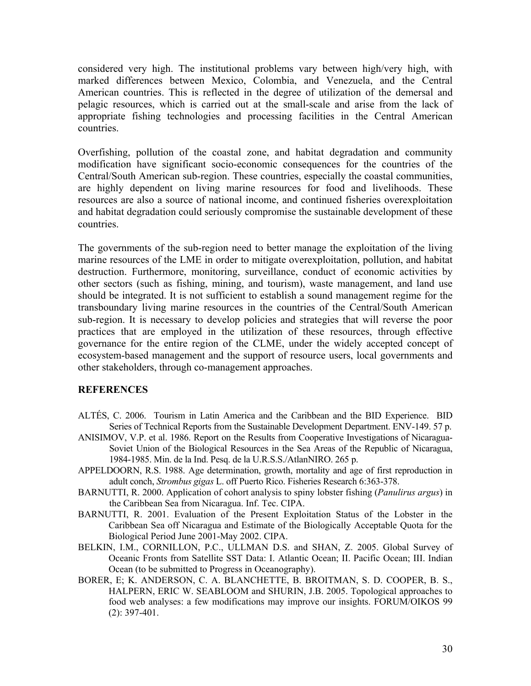considered very high. The institutional problems vary between high/very high, with marked differences between Mexico, Colombia, and Venezuela, and the Central American countries. This is reflected in the degree of utilization of the demersal and pelagic resources, which is carried out at the small-scale and arise from the lack of appropriate fishing technologies and processing facilities in the Central American countries.

Overfishing, pollution of the coastal zone, and habitat degradation and community modification have significant socio-economic consequences for the countries of the Central/South American sub-region. These countries, especially the coastal communities, are highly dependent on living marine resources for food and livelihoods. These resources are also a source of national income, and continued fisheries overexploitation and habitat degradation could seriously compromise the sustainable development of these countries.

The governments of the sub-region need to better manage the exploitation of the living marine resources of the LME in order to mitigate overexploitation, pollution, and habitat destruction. Furthermore, monitoring, surveillance, conduct of economic activities by other sectors (such as fishing, mining, and tourism), waste management, and land use should be integrated. It is not sufficient to establish a sound management regime for the transboundary living marine resources in the countries of the Central/South American sub-region. It is necessary to develop policies and strategies that will reverse the poor practices that are employed in the utilization of these resources, through effective governance for the entire region of the CLME, under the widely accepted concept of ecosystem-based management and the support of resource users, local governments and other stakeholders, through co-management approaches.

#### **REFERENCES**

- ALTÉS, C. 2006. Tourism in Latin America and the Caribbean and the BID Experience. BID Series of Technical Reports from the Sustainable Development Department. ENV-149. 57 p.
- ANISIMOV, V.P. et al. 1986. Report on the Results from Cooperative Investigations of Nicaragua-Soviet Union of the Biological Resources in the Sea Areas of the Republic of Nicaragua, 1984-1985. Min. de la Ind. Pesq. de la U.R.S.S./AtlanNIRO. 265 p.
- APPELDOORN, R.S. 1988. Age determination, growth, mortality and age of first reproduction in adult conch, *Strombus gigas* L. off Puerto Rico. Fisheries Research 6:363-378.
- BARNUTTI, R. 2000. Application of cohort analysis to spiny lobster fishing (*Panulirus argus*) in the Caribbean Sea from Nicaragua. Inf. Tec. CIPA.
- BARNUTTI, R. 2001. Evaluation of the Present Exploitation Status of the Lobster in the Caribbean Sea off Nicaragua and Estimate of the Biologically Acceptable Quota for the Biological Period June 2001-May 2002. CIPA.
- BELKIN, I.M., CORNILLON, P.C., ULLMAN D.S. and SHAN, Z. 2005. Global Survey of Oceanic Fronts from Satellite SST Data: I. Atlantic Ocean; II. Pacific Ocean; III. Indian Ocean (to be submitted to Progress in Oceanography).
- BORER, E; K. ANDERSON, C. A. BLANCHETTE, B. BROITMAN, S. D. COOPER, B. S., HALPERN, ERIC W. SEABLOOM and SHURIN, J.B. 2005. Topological approaches to food web analyses: a few modifications may improve our insights. FORUM/OIKOS 99 (2): 397-401.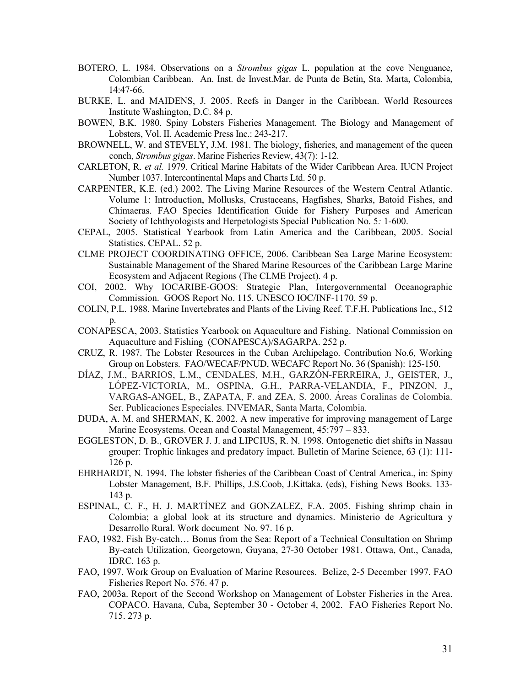- BOTERO, L. 1984. Observations on a *Strombus gigas* L. population at the cove Nenguance, Colombian Caribbean. An. Inst. de Invest.Mar. de Punta de Betin, Sta. Marta, Colombia, 14:47-66.
- BURKE, L. and MAIDENS, J. 2005. Reefs in Danger in the Caribbean. World Resources Institute Washington, D.C. 84 p.
- BOWEN, B.K. 1980. Spiny Lobsters Fisheries Management. The Biology and Management of Lobsters, Vol. II. Academic Press Inc.: 243-217.
- BROWNELL, W. and STEVELY, J.M. 1981. The biology, fisheries, and management of the queen conch, *Strombus gigas*. Marine Fisheries Review, 43(7): 1-12.
- CARLETON, R. *et al.* 1979. Critical Marine Habitats of the Wider Caribbean Area. IUCN Project Number 1037. Intercontinental Maps and Charts Ltd. 50 p.
- CARPENTER, K.E. (ed.) 2002. The Living Marine Resources of the Western Central Atlantic. Volume 1: Introduction, Mollusks, Crustaceans, Hagfishes, Sharks, Batoid Fishes, and Chimaeras. FAO Species Identification Guide for Fishery Purposes and American Society of Ichthyologists and Herpetologists Special Publication No. 5*:* 1-600.
- CEPAL, 2005. Statistical Yearbook from Latin America and the Caribbean, 2005. Social Statistics. CEPAL. 52 p.
- CLME PROJECT COORDINATING OFFICE, 2006. Caribbean Sea Large Marine Ecosystem: Sustainable Management of the Shared Marine Resources of the Caribbean Large Marine Ecosystem and Adjacent Regions (The CLME Project). 4 p.
- COI, 2002. Why IOCARIBE-GOOS: Strategic Plan, Intergovernmental Oceanographic Commission. GOOS Report No. 115. UNESCO IOC/INF-1170. 59 p.
- COLIN, P.L. 1988. Marine Invertebrates and Plants of the Living Reef. T.F.H. Publications Inc., 512  $p_{\perp}$
- CONAPESCA, 2003. Statistics Yearbook on Aquaculture and Fishing. National Commission on Aquaculture and Fishing (CONAPESCA)/SAGARPA. 252 p.
- CRUZ, R. 1987. The Lobster Resources in the Cuban Archipelago. Contribution No.6, Working Group on Lobsters. FAO/WECAF/PNUD, WECAFC Report No. 36 (Spanish): 125-150.
- DÍAZ, J.M., BARRIOS, L.M., CENDALES, M.H., GARZÓN-FERREIRA, J., GEISTER, J., LÓPEZ-VICTORIA, M., OSPINA, G.H., PARRA-VELANDIA, F., PINZON, J., VARGAS-ANGEL, B., ZAPATA, F. and ZEA, S. 2000. Áreas Coralinas de Colombia. Ser. Publicaciones Especiales. INVEMAR, Santa Marta, Colombia.
- DUDA, A. M. and SHERMAN, K. 2002. A new imperative for improving management of Large Marine Ecosystems. Ocean and Coastal Management, 45:797 – 833.
- EGGLESTON, D. B., GROVER J. J. and LIPCIUS, R. N. 1998. Ontogenetic diet shifts in Nassau grouper: Trophic linkages and predatory impact. Bulletin of Marine Science, 63 (1): 111- 126 p.
- EHRHARDT, N. 1994. The lobster fisheries of the Caribbean Coast of Central America., in: Spiny Lobster Management, B.F. Phillips, J.S.Coob, J.Kittaka. (eds), Fishing News Books. 133- 143 p.
- ESPINAL, C. F., H. J. MARTÍNEZ and GONZALEZ, F.A. 2005. Fishing shrimp chain in Colombia; a global look at its structure and dynamics. Ministerio de Agricultura y Desarrollo Rural. Work document No. 97. 16 p.
- FAO, 1982. Fish By-catch… Bonus from the Sea: Report of a Technical Consultation on Shrimp By-catch Utilization, Georgetown, Guyana, 27-30 October 1981. Ottawa, Ont., Canada, IDRC. 163 p.
- FAO, 1997. Work Group on Evaluation of Marine Resources. Belize, 2-5 December 1997. FAO Fisheries Report No. 576. 47 p.
- FAO, 2003a. Report of the Second Workshop on Management of Lobster Fisheries in the Area. COPACO. Havana, Cuba, September 30 - October 4, 2002. FAO Fisheries Report No. 715. 273 p.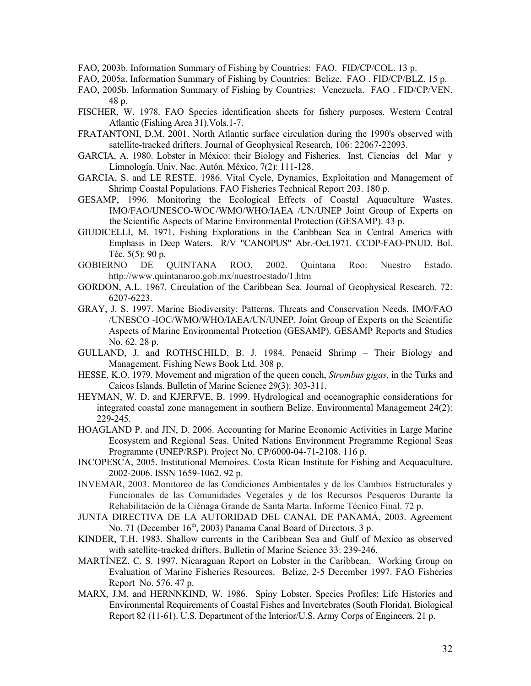- FAO, 2003b. Information Summary of Fishing by Countries: FAO. FID/CP/COL. 13 p.
- FAO, 2005a. Information Summary of Fishing by Countries: Belize. FAO . FID/CP/BLZ. 15 p.
- FAO, 2005b. Information Summary of Fishing by Countries: Venezuela. FAO . FID/CP/VEN. 48 p.
- FISCHER, W. 1978. FAO Species identification sheets for fishery purposes. Western Central Atlantic (Fishing Area 31).Vols.1-7.
- FRATANTONI, D.M. 2001. North Atlantic surface circulation during the 1990's observed with satellite-tracked drifters. Journal of Geophysical Research*,* 106: 22067-22093.
- GARCIA, A. 1980. Lobster in México: their Biology and Fisheries. Inst. Ciencias del Mar y Limnología. Univ. Nac. Autón. México, 7(2): 111-128.
- GARCIA, S. and LE RESTE. 1986. Vital Cycle, Dynamics, Exploitation and Management of Shrimp Coastal Populations. FAO Fisheries Technical Report 203. 180 p.
- GESAMP, 1996. Monitoring the Ecological Effects of Coastal Aquaculture Wastes. IMO/FAO/UNESCO-WOC/WMO/WHO/IAEA /UN/UNEP Joint Group of Experts on the Scientific Aspects of Marine Environmental Protection (GESAMP). 43 p.
- GIUDICELLI, M. 1971. Fishing Explorations in the Caribbean Sea in Central America with Emphasis in Deep Waters. R/V "CANOPUS" Abr.-Oct.1971. CCDP-FAO-PNUD. Bol. Téc. 5(5): 90 p.
- GOBIERNO DE QUINTANA ROO, 2002. Quintana Roo: Nuestro Estado. http://www.quintanaroo.gob.mx/nuestroestado/1.htm
- GORDON, A.L. 1967. Circulation of the Caribbean Sea. Journal of Geophysical Research*,* 72: 6207-6223.
- GRAY, J. S. 1997. Marine Biodiversity: Patterns, Threats and Conservation Needs. IMO/FAO /UNESCO -IOC/WMO/WHO/IAEA/UN/UNEP. Joint Group of Experts on the Scientific Aspects of Marine Environmental Protection (GESAMP). GESAMP Reports and Studies No. 62. 28 p.
- GULLAND, J. and ROTHSCHILD, B. J. 1984. Penaeid Shrimp Their Biology and Management. Fishing News Book Ltd. 308 p.
- HESSE, K.O. 1979. Movement and migration of the queen conch, *Strombus gigas*, in the Turks and Caicos Islands. Bulletin of Marine Science 29(3): 303-311.
- HEYMAN, W. D. and KJERFVE, B. 1999. Hydrological and oceanographic considerations for integrated coastal zone management in southern Belize. Environmental Management 24(2): 229-245.
- HOAGLAND P. and JIN, D. 2006. Accounting for Marine Economic Activities in Large Marine Ecosystem and Regional Seas. United Nations Environment Programme Regional Seas Programme (UNEP/RSP). Project No. CP/6000-04-71-2108. 116 p.
- INCOPESCA, 2005. Institutional Memoires. Costa Rican Institute for Fishing and Acquaculture. 2002-2006. ISSN 1659-1062. 92 p.
- INVEMAR, 2003. Monitoreo de las Condiciones Ambientales y de los Cambios Estructurales y Funcionales de las Comunidades Vegetales y de los Recursos Pesqueros Durante la Rehabilitación de la Ciénaga Grande de Santa Marta. Informe Técnico Final. 72 p.
- JUNTA DIRECTIVA DE LA AUTORIDAD DEL CANAL DE PANAMÁ, 2003. Agreement No. 71 (December 16<sup>th</sup>, 2003) Panama Canal Board of Directors. 3 p.
- KINDER, T.H. 1983. Shallow currents in the Caribbean Sea and Gulf of Mexico as observed with satellite-tracked drifters. Bulletin of Marine Science 33: 239-246.
- MARTÍNEZ, C. S. 1997. Nicaraguan Report on Lobster in the Caribbean. Working Group on Evaluation of Marine Fisheries Resources. Belize, 2-5 December 1997. FAO Fisheries Report No. 576. 47 p.
- MARX, J.M. and HERNNKIND, W. 1986. Spiny Lobster. Species Profiles: Life Histories and Environmental Requirements of Coastal Fishes and Invertebrates (South Florida). Biological Report 82 (11-61). U.S. Department of the Interior/U.S. Army Corps of Engineers. 21 p.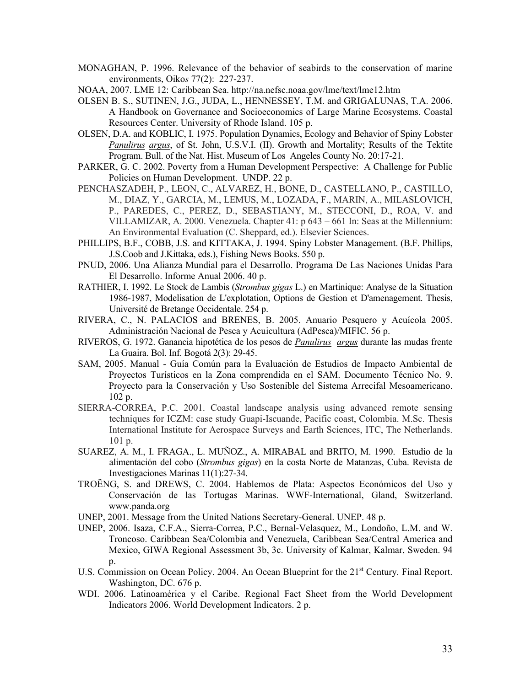- MONAGHAN, P. 1996. Relevance of the behavior of seabirds to the conservation of marine environments, Oiko*s* 77(2): 227-237.
- NOAA, 2007. LME 12: Caribbean Sea. http://na.nefsc.noaa.gov/lme/text/lme12.htm
- OLSEN B. S., SUTINEN, J.G., JUDA, L., HENNESSEY, T.M. and GRIGALUNAS, T.A. 2006. A Handbook on Governance and Socioeconomics of Large Marine Ecosystems. Coastal Resources Center. University of Rhode Island. 105 p.
- OLSEN, D.A. and KOBLIC, I. 1975. Population Dynamics, Ecology and Behavior of Spiny Lobster *Panulirus argus*, of St. John, U.S.V.I. (II). Growth and Mortality; Results of the Tektite Program. Bull. of the Nat. Hist. Museum of Los Angeles County No. 20:17-21.
- PARKER, G. C. 2002. Poverty from a Human Development Perspective: A Challenge for Public Policies on Human Development. UNDP. 22 p.
- PENCHASZADEH, P., LEON, C., ALVAREZ, H., BONE, D., CASTELLANO, P., CASTILLO, M., DIAZ, Y., GARCIA, M., LEMUS, M., LOZADA, F., MARIN, A., MILASLOVICH, P., PAREDES, C., PEREZ, D., SEBASTIANY, M., STECCONI, D., ROA, V. and VILLAMIZAR, A. 2000. Venezuela. Chapter 41: p 643 – 661 In: Seas at the Millennium: An Environmental Evaluation (C. Sheppard, ed.). Elsevier Sciences.
- PHILLIPS, B.F., COBB, J.S. and KITTAKA, J. 1994. Spiny Lobster Management. (B.F. Phillips, J.S.Coob and J.Kittaka, eds.), Fishing News Books. 550 p.
- PNUD, 2006. Una Alianza Mundial para el Desarrollo. Programa De Las Naciones Unidas Para El Desarrollo. Informe Anual 2006. 40 p.
- RATHIER, I. 1992. Le Stock de Lambis (*Strombus gigas* L.) en Martinique: Analyse de la Situation 1986-1987, Modelisation de L'explotation, Options de Gestion et D'amenagement. Thesis, Université de Bretange Occidentale. 254 p.
- RIVERA, C., N. PALACIOS and BRENES, B. 2005. Anuario Pesquero y Acuícola 2005. Administración Nacional de Pesca y Acuicultura (AdPesca)/MIFIC. 56 p.
- RIVEROS, G. 1972. Ganancia hipotética de los pesos de *Panulirus argus* durante las mudas frente La Guaira. Bol. Inf. Bogotá 2(3): 29-45.
- SAM, 2005. Manual Guía Común para la Evaluación de Estudios de Impacto Ambiental de Proyectos Turísticos en la Zona comprendida en el SAM. Documento Técnico No. 9. Proyecto para la Conservación y Uso Sostenible del Sistema Arrecifal Mesoamericano. 102 p.
- SIERRA-CORREA, P.C. 2001. Coastal landscape analysis using advanced remote sensing techniques for ICZM: case study Guapi-Iscuande, Pacific coast, Colombia. M.Sc. Thesis International Institute for Aerospace Surveys and Earth Sciences, ITC, The Netherlands. 101 p.
- SUAREZ, A. M., I. FRAGA., L. MUÑOZ., A. MIRABAL and BRITO, M. 1990. Estudio de la alimentación del cobo (*Strombus gigas*) en la costa Norte de Matanzas, Cuba. Revista de Investigaciones Marinas 11(1):27-34.
- TROËNG, S. and DREWS, C. 2004. Hablemos de Plata: Aspectos Económicos del Uso y Conservación de las Tortugas Marinas. WWF-International, Gland, Switzerland. www.panda.org
- UNEP, 2001. Message from the United Nations Secretary-General. UNEP. 48 p.
- UNEP, 2006. Isaza, C.F.A., Sierra-Correa, P.C., Bernal-Velasquez, M., Londoño, L.M. and W. Troncoso. Caribbean Sea/Colombia and Venezuela, Caribbean Sea/Central America and Mexico, GIWA Regional Assessment 3b, 3c. University of Kalmar, Kalmar, Sweden. 94 p.
- U.S. Commission on Ocean Policy. 2004. An Ocean Blueprint for the 21<sup>st</sup> Century. Final Report. Washington, DC. 676 p.
- WDI. 2006. Latinoamérica y el Caribe. Regional Fact Sheet from the World Development Indicators 2006. World Development Indicators. 2 p.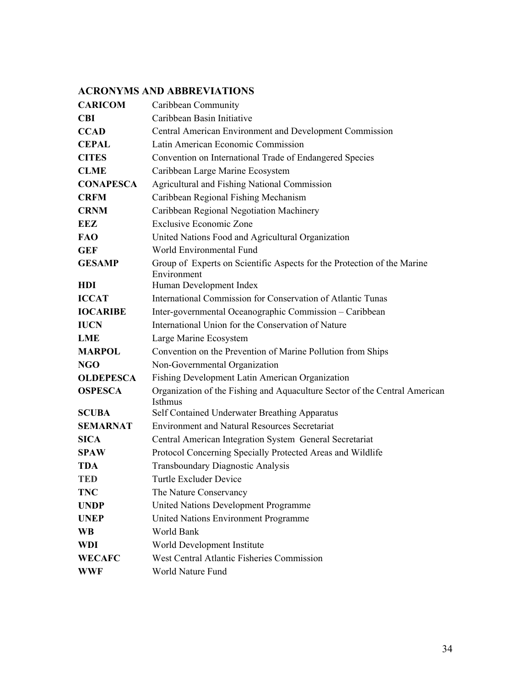# **ACRONYMS AND ABBREVIATIONS**

| <b>CARICOM</b>   | Caribbean Community                                                                    |
|------------------|----------------------------------------------------------------------------------------|
| <b>CBI</b>       | Caribbean Basin Initiative                                                             |
| <b>CCAD</b>      | Central American Environment and Development Commission                                |
| <b>CEPAL</b>     | Latin American Economic Commission                                                     |
| <b>CITES</b>     | Convention on International Trade of Endangered Species                                |
| <b>CLME</b>      | Caribbean Large Marine Ecosystem                                                       |
| <b>CONAPESCA</b> | <b>Agricultural and Fishing National Commission</b>                                    |
| <b>CRFM</b>      | Caribbean Regional Fishing Mechanism                                                   |
| <b>CRNM</b>      | Caribbean Regional Negotiation Machinery                                               |
| EEZ              | <b>Exclusive Economic Zone</b>                                                         |
| <b>FAO</b>       | United Nations Food and Agricultural Organization                                      |
| <b>GEF</b>       | World Environmental Fund                                                               |
| <b>GESAMP</b>    | Group of Experts on Scientific Aspects for the Protection of the Marine<br>Environment |
| HDI              | Human Development Index                                                                |
| <b>ICCAT</b>     | International Commission for Conservation of Atlantic Tunas                            |
| <b>IOCARIBE</b>  | Inter-governmental Oceanographic Commission - Caribbean                                |
| <b>IUCN</b>      | International Union for the Conservation of Nature                                     |
| LME              | Large Marine Ecosystem                                                                 |
| <b>MARPOL</b>    | Convention on the Prevention of Marine Pollution from Ships                            |
| <b>NGO</b>       | Non-Governmental Organization                                                          |
| <b>OLDEPESCA</b> | Fishing Development Latin American Organization                                        |
| <b>OSPESCA</b>   | Organization of the Fishing and Aquaculture Sector of the Central American<br>Isthmus  |
| <b>SCUBA</b>     | Self Contained Underwater Breathing Apparatus                                          |
| <b>SEMARNAT</b>  | <b>Environment and Natural Resources Secretariat</b>                                   |
| <b>SICA</b>      | Central American Integration System General Secretariat                                |
| <b>SPAW</b>      | Protocol Concerning Specially Protected Areas and Wildlife                             |
| <b>TDA</b>       | Transboundary Diagnostic Analysis                                                      |
| <b>TED</b>       | <b>Turtle Excluder Device</b>                                                          |
| <b>TNC</b>       | The Nature Conservancy                                                                 |
| <b>UNDP</b>      | United Nations Development Programme                                                   |
| <b>UNEP</b>      | United Nations Environment Programme                                                   |
| <b>WB</b>        | World Bank                                                                             |
| WDI              | World Development Institute                                                            |
| <b>WECAFC</b>    | West Central Atlantic Fisheries Commission                                             |
| <b>WWF</b>       | World Nature Fund                                                                      |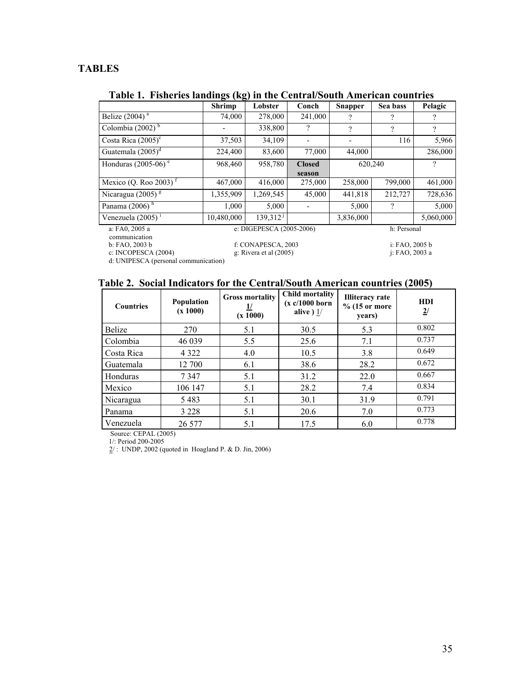# **TABLES**

# **Table 1. Fisheries landings (kg) in the Central/South American countries**

|                                 | <b>Shrimp</b> | Lobster                  | Conch         | <b>Snapper</b> | Sea bass       | Pelagic       |
|---------------------------------|---------------|--------------------------|---------------|----------------|----------------|---------------|
| Belize $(2004)$ <sup>a</sup>    | 74,000        | 278,000                  | 241,000       | າ              | ?              | 9             |
| Colombia $(2002)^b$             |               | 338,800                  | ?             | ?              | ?              | $\mathcal{P}$ |
| Costa Rica $(2005)^c$           | 37,503        | 34,109                   |               |                | 116            | 5,966         |
| Guatemala $(2005)^d$            | 224,400       | 83,600                   | 77,000        | 44,000         |                | 286,000       |
| Honduras (2005-06) $e$          | 968,460       | 958,780                  | <b>Closed</b> |                | 620,240        | ?             |
|                                 |               |                          | season        |                |                |               |
| Mexico (Q. Roo 2003) $^{\rm f}$ | 467,000       | 416,000                  | 275,000       | 258,000        | 799,000        | 461,000       |
| Nicaragua (2005) $\frac{8}{5}$  | 1,355,909     | 1,269,545                | 45,000        | 441,818        | 212,727        | 728,636       |
| Panama $(2006)^h$               | 1,000         | 5,000                    |               | 5,000          | $\gamma$       | 5,000         |
| Venezuela $(2005)^1$            | 10.480.000    | 139,312 <sup>1</sup>     |               | 3,836,000      |                | 5,060,000     |
| a: FA0, 2005 a                  |               | e: DIGEPESCA (2005-2006) |               |                | h: Personal    |               |
| communication                   |               |                          |               |                |                |               |
| b: FAO, 2003 b                  |               | f: CONAPESCA, 2003       |               |                | i: FAO, 2005 b |               |
| c: INCOPESCA (2004)             |               | g: Rivera et al $(2005)$ |               |                | i: FAO, 2003 a |               |

d: UNIPESCA (personal communication)

# **Table 2. Social Indicators for the Central/South American countries (2005)**

| <b>Countries</b> | <b>Population</b><br>(x 1000) | <b>Gross mortality</b><br>(x 1000) | <b>Child mortality</b><br>(x c/1000 born<br>alive $\frac{1}{2}$ | <b>Illiteracy</b> rate<br>$%$ (15 or more<br>years) | <b>HDI</b><br>$\overline{2}$ / |
|------------------|-------------------------------|------------------------------------|-----------------------------------------------------------------|-----------------------------------------------------|--------------------------------|
| <b>Belize</b>    | 270                           | 5.1                                | 30.5                                                            | 5.3                                                 | 0.802                          |
| Colombia         | 46 039                        | 5.5                                | 25.6                                                            | 7.1                                                 | 0.737                          |
| Costa Rica       | 4 3 2 2                       | 4.0                                | 10.5                                                            | 3.8                                                 | 0.649                          |
| Guatemala        | 12 700                        | 6.1                                | 38.6                                                            | 28.2                                                | 0.672                          |
| Honduras         | 7347                          | 5.1                                | 31.2                                                            | 22.0                                                | 0.667                          |
| Mexico           | 106 147                       | 5.1                                | 28.2                                                            | 7.4                                                 | 0.834                          |
| Nicaragua        | 5483                          | 5.1                                | 30.1                                                            | 31.9                                                | 0.791                          |
| Panama           | 3 2 2 8                       | 5.1                                | 20.6                                                            | 7.0                                                 | 0.773                          |
| Venezuela        | 26 577                        | 5.1                                | 17.5                                                            | 6.0                                                 | 0.778                          |

Source: CEPAL (2005)

1/: Period 200-2005

 $\frac{2}{2}$ : UNDP, 2002 (quoted in Hoagland P. & D. Jin, 2006)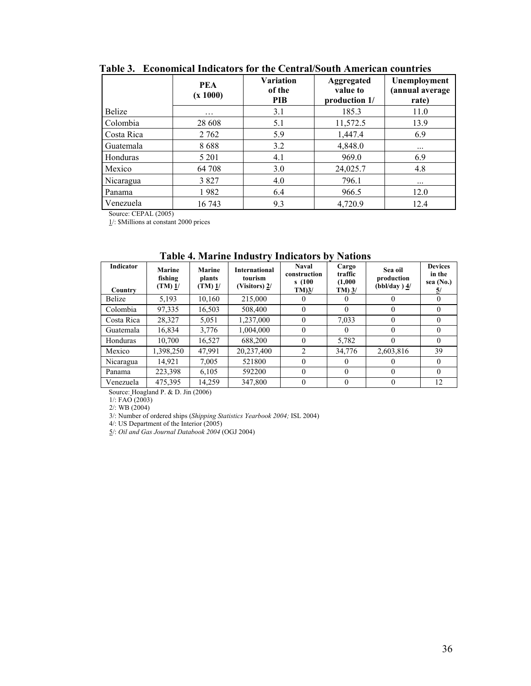|            | <b>PEA</b><br>(x 1000) | <b>Variation</b><br>of the<br><b>PIB</b> | <b>Aggregated</b><br>value to<br>production 1/ | Unemployment<br>(annual average<br>rate) |
|------------|------------------------|------------------------------------------|------------------------------------------------|------------------------------------------|
| Belize     | .                      | 3.1                                      | 185.3                                          | 11.0                                     |
| Colombia   | 28 608                 | 5.1                                      | 11,572.5                                       | 13.9                                     |
| Costa Rica | 2 762                  | 5.9                                      | 1,447.4                                        | 6.9                                      |
| Guatemala  | 8688                   | 3.2                                      | 4,848.0                                        | $\cdots$                                 |
| Honduras   | 5 2 0 1                | 4.1                                      | 969.0                                          | 6.9                                      |
| Mexico     | 64 708                 | 3.0                                      | 24,025.7                                       | 4.8                                      |
| Nicaragua  | 3827                   | 4.0                                      | 796.1                                          | $\cdots$                                 |
| Panama     | 1982                   | 6.4                                      | 966.5                                          | 12.0                                     |
| Venezuela  | 16 743                 | 9.3                                      | 4,720.9                                        | 12.4                                     |

**Table 3. Economical Indicators for the Central/South American countries** 

Source: CEPAL (2005)

1/: \$Millions at constant 2000 prices

|                      |                                             |                                            | таріс в гіатніе пічази у пічнасці р              |                                                       | .                                          |                                         |                                             |
|----------------------|---------------------------------------------|--------------------------------------------|--------------------------------------------------|-------------------------------------------------------|--------------------------------------------|-----------------------------------------|---------------------------------------------|
| Indicator<br>Country | <b>Marine</b><br>fishing<br>(TM) <u>1</u> / | <b>Marine</b><br>plants<br>(TM) <u>1</u> / | <b>International</b><br>tourism<br>(Visitors) 2/ | <b>Naval</b><br>construction<br>s(100)<br>$TM$ ) $3/$ | Cargo<br>traffic<br>(1,000)<br>$TM$ ) $3/$ | Sea oil<br>production<br>$(bbl/day)$ 4/ | <b>Devices</b><br>in the<br>sea (No.)<br>5/ |
| Belize               | 5,193                                       | 10,160                                     | 215,000                                          | $\theta$                                              | $^{\circ}$                                 | 0                                       | $\theta$                                    |
| Colombia             | 97,335                                      | 16,503                                     | 508,400                                          | $\theta$                                              | $\Omega$                                   | 0                                       | $\theta$                                    |
| Costa Rica           | 28,327                                      | 5.051                                      | 1,237,000                                        | $\theta$                                              | 7,033                                      | 0                                       | $\theta$                                    |
| Guatemala            | 16,834                                      | 3.776                                      | 1.004.000                                        | $\theta$                                              | $\theta$                                   | 0                                       | $\Omega$                                    |
| Honduras             | 10.700                                      | 16,527                                     | 688,200                                          | $\theta$                                              | 5,782                                      | 0                                       | $\Omega$                                    |
| Mexico               | 1,398,250                                   | 47,991                                     | 20,237,400                                       | $\overline{2}$                                        | 34,776                                     | 2,603,816                               | 39                                          |
| Nicaragua            | 14.921                                      | 7,005                                      | 521800                                           | $\theta$                                              | $\theta$                                   |                                         | $\Omega$                                    |
| Panama               | 223,398                                     | 6.105                                      | 592200                                           | $\theta$                                              | $\Omega$                                   | 0                                       | $\Omega$                                    |
| Venezuela            | 475,395                                     | 14,259                                     | 347,800                                          | $\Omega$                                              | $\Omega$                                   |                                         | 12                                          |

**Table 4. Marine Industry Indicators by Nations** 

Source: Hoagland P. & D. Jin (2006)

1/: FAO (2003)

2/: WB (2004)

3/: Number of ordered ships (*Shipping Statistics Yearbook 2004;* ISL 2004)

4/: US Department of the Interior (2005)

5/: *Oil and Gas Journal Databook 2004* (OGJ 2004)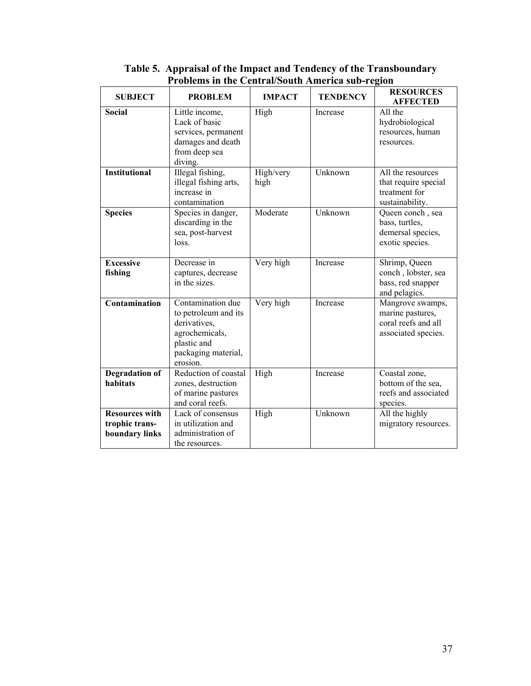| <b>SUBJECT</b>                                            | <b>PROBLEM</b>                                                                                                                | <b>IMPACT</b>     | <b>TENDENCY</b> | <b>RESOURCES</b><br><b>AFFECTED</b>                                                |
|-----------------------------------------------------------|-------------------------------------------------------------------------------------------------------------------------------|-------------------|-----------------|------------------------------------------------------------------------------------|
| <b>Social</b>                                             | Little income,<br>Lack of basic<br>services, permanent<br>damages and death<br>from deep sea<br>diving.                       | High              | Increase        | All the<br>hydrobiological<br>resources, human<br>resources.                       |
| <b>Institutional</b>                                      | Illegal fishing,<br>illegal fishing arts,<br>increase in<br>contamination                                                     | High/very<br>high | Unknown         | All the resources<br>that require special<br>treatment for<br>sustainability.      |
| <b>Species</b>                                            | Species in danger,<br>discarding in the<br>sea, post-harvest<br>loss.                                                         | Moderate          | Unknown         | Queen conch, sea<br>bass, turtles,<br>demersal species,<br>exotic species.         |
| <b>Excessive</b><br>fishing                               | Decrease in<br>captures, decrease<br>in the sizes.                                                                            | Very high         | Increase        | Shrimp, Queen<br>conch, lobster, sea<br>bass, red snapper<br>and pelagics.         |
| Contamination                                             | Contamination due<br>to petroleum and its<br>derivatives,<br>agrochemicals,<br>plastic and<br>packaging material,<br>erosion. | Very high         | Increase        | Mangrove swamps,<br>marine pastures,<br>coral reefs and all<br>associated species. |
| Degradation of<br>habitats                                | Reduction of coastal<br>zones, destruction<br>of marine pastures<br>and coral reefs.                                          | High              | Increase        | Coastal zone,<br>bottom of the sea,<br>reefs and associated<br>species.            |
| <b>Resources with</b><br>trophic trans-<br>boundary links | Lack of consensus<br>in utilization and<br>administration of<br>the resources.                                                | High              | Unknown         | All the highly<br>migratory resources.                                             |

## **Table 5. Appraisal of the Impact and Tendency of the Transboundary Problems in the Central/South America sub-region**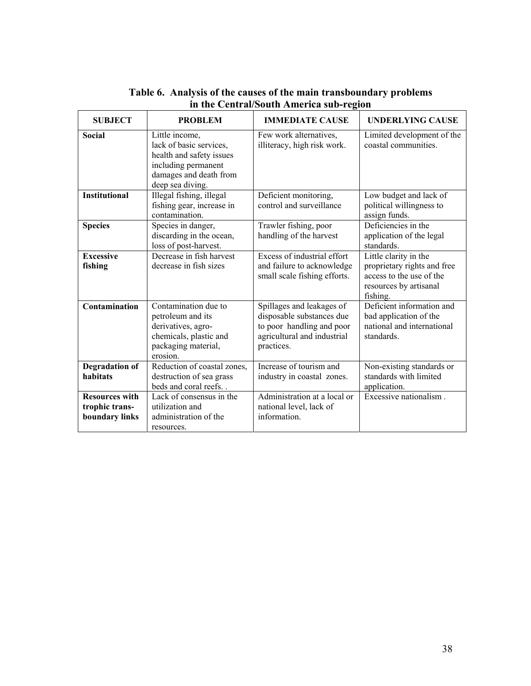| <b>SUBJECT</b>                                            | <b>PROBLEM</b>                                                                                                                             | <b>IMMEDIATE CAUSE</b>                                                                                                           | <b>UNDERLYING CAUSE</b>                                                                                                |
|-----------------------------------------------------------|--------------------------------------------------------------------------------------------------------------------------------------------|----------------------------------------------------------------------------------------------------------------------------------|------------------------------------------------------------------------------------------------------------------------|
| Social                                                    | Little income,<br>lack of basic services,<br>health and safety issues<br>including permanent<br>damages and death from<br>deep sea diving. | Few work alternatives,<br>illiteracy, high risk work.                                                                            | Limited development of the<br>coastal communities                                                                      |
| <b>Institutional</b>                                      | Illegal fishing, illegal<br>fishing gear, increase in<br>contamination.                                                                    | Deficient monitoring,<br>control and surveillance                                                                                | Low budget and lack of<br>political willingness to<br>assign funds.                                                    |
| <b>Species</b>                                            | Species in danger,<br>discarding in the ocean,<br>loss of post-harvest.                                                                    | Trawler fishing, poor<br>handling of the harvest                                                                                 | Deficiencies in the<br>application of the legal<br>standards.                                                          |
| <b>Excessive</b><br>fishing                               | Decrease in fish harvest<br>decrease in fish sizes                                                                                         | Excess of industrial effort<br>and failure to acknowledge<br>small scale fishing efforts.                                        | Little clarity in the<br>proprietary rights and free<br>access to the use of the<br>resources by artisanal<br>fishing. |
| Contamination                                             | Contamination due to<br>petroleum and its<br>derivatives, agro-<br>chemicals, plastic and<br>packaging material,<br>erosion.               | Spillages and leakages of<br>disposable substances due<br>to poor handling and poor<br>agricultural and industrial<br>practices. | Deficient information and<br>bad application of the<br>national and international<br>standards.                        |
| <b>Degradation of</b><br>habitats                         | Reduction of coastal zones,<br>destruction of sea grass<br>beds and coral reefs                                                            | Increase of tourism and<br>industry in coastal zones.                                                                            | Non-existing standards or<br>standards with limited<br>application.                                                    |
| <b>Resources with</b><br>trophic trans-<br>boundary links | Lack of consensus in the<br>utilization and<br>administration of the<br>resources.                                                         | Administration at a local or<br>national level, lack of<br>information.                                                          | Excessive nationalism.                                                                                                 |

## **Table 6. Analysis of the causes of the main transboundary problems in the Central/South America sub-region**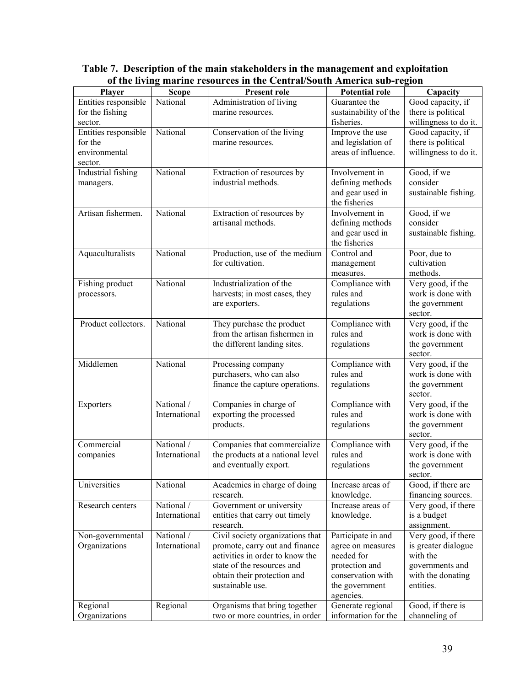| <b>Scope</b><br><b>Potential role</b><br>Player<br><b>Present role</b><br>Capacity<br>Entities responsible<br>National<br>Good capacity, if<br>Administration of living<br>Guarantee the<br>there is political<br>for the fishing<br>marine resources.<br>sustainability of the<br>fisheries.<br>willingness to do it.<br>sector.<br>National<br>Entities responsible<br>Good capacity, if<br>Conservation of the living<br>Improve the use<br>marine resources.<br>and legislation of<br>there is political<br>for the<br>areas of influence.<br>willingness to do it.<br>environmental<br>sector.<br>National<br>Extraction of resources by<br>Good, if we<br>Industrial fishing<br>Involvement in<br>industrial methods.<br>defining methods<br>consider<br>managers.<br>and gear used in<br>sustainable fishing.<br>the fisheries<br>Good, if we<br>Artisan fishermen.<br>National<br>Extraction of resources by<br>Involvement in<br>artisanal methods.<br>consider<br>defining methods<br>and gear used in<br>sustainable fishing.<br>the fisheries<br>Production, use of the medium<br>Aquaculturalists<br>National<br>Poor, due to<br>Control and<br>cultivation<br>for cultivation.<br>management<br>methods.<br>measures.<br>Very good, if the<br>Industrialization of the<br>Compliance with<br>National<br>Fishing product<br>work is done with<br>rules and<br>harvests; in most cases, they<br>processors.<br>regulations<br>the government<br>are exporters.<br>sector.<br>Very good, if the<br>Product collectors.<br>National<br>They purchase the product<br>Compliance with<br>from the artisan fishermen in<br>rules and<br>work is done with<br>the different landing sites.<br>regulations<br>the government<br>sector.<br>Very good, if the<br>Middlemen<br>National<br>Compliance with<br>Processing company<br>purchasers, who can also<br>work is done with<br>rules and<br>finance the capture operations.<br>regulations<br>the government<br>sector.<br>Very good, if the<br>National /<br>Companies in charge of<br>Compliance with<br>Exporters<br>International<br>exporting the processed<br>rules and<br>work is done with<br>regulations<br>the government<br>products.<br>sector.<br>Very good, if the<br>National /<br>Compliance with<br>Commercial<br>Companies that commercialize<br>International<br>the products at a national level<br>rules and<br>work is done with<br>companies<br>regulations<br>and eventually export.<br>the government<br>sector.<br>Universities<br>National<br>Academies in charge of doing<br>Increase areas of<br>Good, if there are<br>research.<br>knowledge.<br>financing sources.<br>Very good, if there<br>Research centers<br>National /<br>Government or university<br>Increase areas of<br>International<br>entities that carry out timely<br>knowledge.<br>is a budget<br>research.<br>assignment.<br>National /<br>Civil society organizations that<br>Participate in and<br>Very good, if there<br>Non-governmental<br>Organizations<br>International<br>promote, carry out and finance<br>is greater dialogue<br>agree on measures<br>activities in order to know the<br>with the<br>needed for<br>state of the resources and<br>protection and<br>governments and<br>obtain their protection and<br>conservation with<br>with the donating<br>sustainable use.<br>the government<br>entities.<br>agencies.<br>Generate regional<br>Regional<br>Regional<br>Organisms that bring together<br>Good, if there is | <u>or ene ny m</u> | $\Box$ mat me i esoul ees in the central south function sub-region |                     |               |
|--------------------------------------------------------------------------------------------------------------------------------------------------------------------------------------------------------------------------------------------------------------------------------------------------------------------------------------------------------------------------------------------------------------------------------------------------------------------------------------------------------------------------------------------------------------------------------------------------------------------------------------------------------------------------------------------------------------------------------------------------------------------------------------------------------------------------------------------------------------------------------------------------------------------------------------------------------------------------------------------------------------------------------------------------------------------------------------------------------------------------------------------------------------------------------------------------------------------------------------------------------------------------------------------------------------------------------------------------------------------------------------------------------------------------------------------------------------------------------------------------------------------------------------------------------------------------------------------------------------------------------------------------------------------------------------------------------------------------------------------------------------------------------------------------------------------------------------------------------------------------------------------------------------------------------------------------------------------------------------------------------------------------------------------------------------------------------------------------------------------------------------------------------------------------------------------------------------------------------------------------------------------------------------------------------------------------------------------------------------------------------------------------------------------------------------------------------------------------------------------------------------------------------------------------------------------------------------------------------------------------------------------------------------------------------------------------------------------------------------------------------------------------------------------------------------------------------------------------------------------------------------------------------------------------------------------------------------------------------------------------------------------------------------------------------------------------------------------------------------------------------------------------------------------------------------------------------------------------------------------------------------------------------------------------------------------------------------------------------------------------------------------------------------------------------------------------------------------------------------------------|--------------------|--------------------------------------------------------------------|---------------------|---------------|
|                                                                                                                                                                                                                                                                                                                                                                                                                                                                                                                                                                                                                                                                                                                                                                                                                                                                                                                                                                                                                                                                                                                                                                                                                                                                                                                                                                                                                                                                                                                                                                                                                                                                                                                                                                                                                                                                                                                                                                                                                                                                                                                                                                                                                                                                                                                                                                                                                                                                                                                                                                                                                                                                                                                                                                                                                                                                                                                                                                                                                                                                                                                                                                                                                                                                                                                                                                                                                                                                                                  |                    |                                                                    |                     |               |
|                                                                                                                                                                                                                                                                                                                                                                                                                                                                                                                                                                                                                                                                                                                                                                                                                                                                                                                                                                                                                                                                                                                                                                                                                                                                                                                                                                                                                                                                                                                                                                                                                                                                                                                                                                                                                                                                                                                                                                                                                                                                                                                                                                                                                                                                                                                                                                                                                                                                                                                                                                                                                                                                                                                                                                                                                                                                                                                                                                                                                                                                                                                                                                                                                                                                                                                                                                                                                                                                                                  |                    |                                                                    |                     |               |
|                                                                                                                                                                                                                                                                                                                                                                                                                                                                                                                                                                                                                                                                                                                                                                                                                                                                                                                                                                                                                                                                                                                                                                                                                                                                                                                                                                                                                                                                                                                                                                                                                                                                                                                                                                                                                                                                                                                                                                                                                                                                                                                                                                                                                                                                                                                                                                                                                                                                                                                                                                                                                                                                                                                                                                                                                                                                                                                                                                                                                                                                                                                                                                                                                                                                                                                                                                                                                                                                                                  |                    |                                                                    |                     |               |
|                                                                                                                                                                                                                                                                                                                                                                                                                                                                                                                                                                                                                                                                                                                                                                                                                                                                                                                                                                                                                                                                                                                                                                                                                                                                                                                                                                                                                                                                                                                                                                                                                                                                                                                                                                                                                                                                                                                                                                                                                                                                                                                                                                                                                                                                                                                                                                                                                                                                                                                                                                                                                                                                                                                                                                                                                                                                                                                                                                                                                                                                                                                                                                                                                                                                                                                                                                                                                                                                                                  |                    |                                                                    |                     |               |
|                                                                                                                                                                                                                                                                                                                                                                                                                                                                                                                                                                                                                                                                                                                                                                                                                                                                                                                                                                                                                                                                                                                                                                                                                                                                                                                                                                                                                                                                                                                                                                                                                                                                                                                                                                                                                                                                                                                                                                                                                                                                                                                                                                                                                                                                                                                                                                                                                                                                                                                                                                                                                                                                                                                                                                                                                                                                                                                                                                                                                                                                                                                                                                                                                                                                                                                                                                                                                                                                                                  |                    |                                                                    |                     |               |
|                                                                                                                                                                                                                                                                                                                                                                                                                                                                                                                                                                                                                                                                                                                                                                                                                                                                                                                                                                                                                                                                                                                                                                                                                                                                                                                                                                                                                                                                                                                                                                                                                                                                                                                                                                                                                                                                                                                                                                                                                                                                                                                                                                                                                                                                                                                                                                                                                                                                                                                                                                                                                                                                                                                                                                                                                                                                                                                                                                                                                                                                                                                                                                                                                                                                                                                                                                                                                                                                                                  |                    |                                                                    |                     |               |
|                                                                                                                                                                                                                                                                                                                                                                                                                                                                                                                                                                                                                                                                                                                                                                                                                                                                                                                                                                                                                                                                                                                                                                                                                                                                                                                                                                                                                                                                                                                                                                                                                                                                                                                                                                                                                                                                                                                                                                                                                                                                                                                                                                                                                                                                                                                                                                                                                                                                                                                                                                                                                                                                                                                                                                                                                                                                                                                                                                                                                                                                                                                                                                                                                                                                                                                                                                                                                                                                                                  |                    |                                                                    |                     |               |
|                                                                                                                                                                                                                                                                                                                                                                                                                                                                                                                                                                                                                                                                                                                                                                                                                                                                                                                                                                                                                                                                                                                                                                                                                                                                                                                                                                                                                                                                                                                                                                                                                                                                                                                                                                                                                                                                                                                                                                                                                                                                                                                                                                                                                                                                                                                                                                                                                                                                                                                                                                                                                                                                                                                                                                                                                                                                                                                                                                                                                                                                                                                                                                                                                                                                                                                                                                                                                                                                                                  |                    |                                                                    |                     |               |
|                                                                                                                                                                                                                                                                                                                                                                                                                                                                                                                                                                                                                                                                                                                                                                                                                                                                                                                                                                                                                                                                                                                                                                                                                                                                                                                                                                                                                                                                                                                                                                                                                                                                                                                                                                                                                                                                                                                                                                                                                                                                                                                                                                                                                                                                                                                                                                                                                                                                                                                                                                                                                                                                                                                                                                                                                                                                                                                                                                                                                                                                                                                                                                                                                                                                                                                                                                                                                                                                                                  |                    |                                                                    |                     |               |
|                                                                                                                                                                                                                                                                                                                                                                                                                                                                                                                                                                                                                                                                                                                                                                                                                                                                                                                                                                                                                                                                                                                                                                                                                                                                                                                                                                                                                                                                                                                                                                                                                                                                                                                                                                                                                                                                                                                                                                                                                                                                                                                                                                                                                                                                                                                                                                                                                                                                                                                                                                                                                                                                                                                                                                                                                                                                                                                                                                                                                                                                                                                                                                                                                                                                                                                                                                                                                                                                                                  |                    |                                                                    |                     |               |
|                                                                                                                                                                                                                                                                                                                                                                                                                                                                                                                                                                                                                                                                                                                                                                                                                                                                                                                                                                                                                                                                                                                                                                                                                                                                                                                                                                                                                                                                                                                                                                                                                                                                                                                                                                                                                                                                                                                                                                                                                                                                                                                                                                                                                                                                                                                                                                                                                                                                                                                                                                                                                                                                                                                                                                                                                                                                                                                                                                                                                                                                                                                                                                                                                                                                                                                                                                                                                                                                                                  |                    |                                                                    |                     |               |
|                                                                                                                                                                                                                                                                                                                                                                                                                                                                                                                                                                                                                                                                                                                                                                                                                                                                                                                                                                                                                                                                                                                                                                                                                                                                                                                                                                                                                                                                                                                                                                                                                                                                                                                                                                                                                                                                                                                                                                                                                                                                                                                                                                                                                                                                                                                                                                                                                                                                                                                                                                                                                                                                                                                                                                                                                                                                                                                                                                                                                                                                                                                                                                                                                                                                                                                                                                                                                                                                                                  |                    |                                                                    |                     |               |
|                                                                                                                                                                                                                                                                                                                                                                                                                                                                                                                                                                                                                                                                                                                                                                                                                                                                                                                                                                                                                                                                                                                                                                                                                                                                                                                                                                                                                                                                                                                                                                                                                                                                                                                                                                                                                                                                                                                                                                                                                                                                                                                                                                                                                                                                                                                                                                                                                                                                                                                                                                                                                                                                                                                                                                                                                                                                                                                                                                                                                                                                                                                                                                                                                                                                                                                                                                                                                                                                                                  |                    |                                                                    |                     |               |
|                                                                                                                                                                                                                                                                                                                                                                                                                                                                                                                                                                                                                                                                                                                                                                                                                                                                                                                                                                                                                                                                                                                                                                                                                                                                                                                                                                                                                                                                                                                                                                                                                                                                                                                                                                                                                                                                                                                                                                                                                                                                                                                                                                                                                                                                                                                                                                                                                                                                                                                                                                                                                                                                                                                                                                                                                                                                                                                                                                                                                                                                                                                                                                                                                                                                                                                                                                                                                                                                                                  |                    |                                                                    |                     |               |
|                                                                                                                                                                                                                                                                                                                                                                                                                                                                                                                                                                                                                                                                                                                                                                                                                                                                                                                                                                                                                                                                                                                                                                                                                                                                                                                                                                                                                                                                                                                                                                                                                                                                                                                                                                                                                                                                                                                                                                                                                                                                                                                                                                                                                                                                                                                                                                                                                                                                                                                                                                                                                                                                                                                                                                                                                                                                                                                                                                                                                                                                                                                                                                                                                                                                                                                                                                                                                                                                                                  |                    |                                                                    |                     |               |
|                                                                                                                                                                                                                                                                                                                                                                                                                                                                                                                                                                                                                                                                                                                                                                                                                                                                                                                                                                                                                                                                                                                                                                                                                                                                                                                                                                                                                                                                                                                                                                                                                                                                                                                                                                                                                                                                                                                                                                                                                                                                                                                                                                                                                                                                                                                                                                                                                                                                                                                                                                                                                                                                                                                                                                                                                                                                                                                                                                                                                                                                                                                                                                                                                                                                                                                                                                                                                                                                                                  |                    |                                                                    |                     |               |
|                                                                                                                                                                                                                                                                                                                                                                                                                                                                                                                                                                                                                                                                                                                                                                                                                                                                                                                                                                                                                                                                                                                                                                                                                                                                                                                                                                                                                                                                                                                                                                                                                                                                                                                                                                                                                                                                                                                                                                                                                                                                                                                                                                                                                                                                                                                                                                                                                                                                                                                                                                                                                                                                                                                                                                                                                                                                                                                                                                                                                                                                                                                                                                                                                                                                                                                                                                                                                                                                                                  |                    |                                                                    |                     |               |
|                                                                                                                                                                                                                                                                                                                                                                                                                                                                                                                                                                                                                                                                                                                                                                                                                                                                                                                                                                                                                                                                                                                                                                                                                                                                                                                                                                                                                                                                                                                                                                                                                                                                                                                                                                                                                                                                                                                                                                                                                                                                                                                                                                                                                                                                                                                                                                                                                                                                                                                                                                                                                                                                                                                                                                                                                                                                                                                                                                                                                                                                                                                                                                                                                                                                                                                                                                                                                                                                                                  |                    |                                                                    |                     |               |
|                                                                                                                                                                                                                                                                                                                                                                                                                                                                                                                                                                                                                                                                                                                                                                                                                                                                                                                                                                                                                                                                                                                                                                                                                                                                                                                                                                                                                                                                                                                                                                                                                                                                                                                                                                                                                                                                                                                                                                                                                                                                                                                                                                                                                                                                                                                                                                                                                                                                                                                                                                                                                                                                                                                                                                                                                                                                                                                                                                                                                                                                                                                                                                                                                                                                                                                                                                                                                                                                                                  |                    |                                                                    |                     |               |
|                                                                                                                                                                                                                                                                                                                                                                                                                                                                                                                                                                                                                                                                                                                                                                                                                                                                                                                                                                                                                                                                                                                                                                                                                                                                                                                                                                                                                                                                                                                                                                                                                                                                                                                                                                                                                                                                                                                                                                                                                                                                                                                                                                                                                                                                                                                                                                                                                                                                                                                                                                                                                                                                                                                                                                                                                                                                                                                                                                                                                                                                                                                                                                                                                                                                                                                                                                                                                                                                                                  |                    |                                                                    |                     |               |
|                                                                                                                                                                                                                                                                                                                                                                                                                                                                                                                                                                                                                                                                                                                                                                                                                                                                                                                                                                                                                                                                                                                                                                                                                                                                                                                                                                                                                                                                                                                                                                                                                                                                                                                                                                                                                                                                                                                                                                                                                                                                                                                                                                                                                                                                                                                                                                                                                                                                                                                                                                                                                                                                                                                                                                                                                                                                                                                                                                                                                                                                                                                                                                                                                                                                                                                                                                                                                                                                                                  |                    |                                                                    |                     |               |
|                                                                                                                                                                                                                                                                                                                                                                                                                                                                                                                                                                                                                                                                                                                                                                                                                                                                                                                                                                                                                                                                                                                                                                                                                                                                                                                                                                                                                                                                                                                                                                                                                                                                                                                                                                                                                                                                                                                                                                                                                                                                                                                                                                                                                                                                                                                                                                                                                                                                                                                                                                                                                                                                                                                                                                                                                                                                                                                                                                                                                                                                                                                                                                                                                                                                                                                                                                                                                                                                                                  |                    |                                                                    |                     |               |
|                                                                                                                                                                                                                                                                                                                                                                                                                                                                                                                                                                                                                                                                                                                                                                                                                                                                                                                                                                                                                                                                                                                                                                                                                                                                                                                                                                                                                                                                                                                                                                                                                                                                                                                                                                                                                                                                                                                                                                                                                                                                                                                                                                                                                                                                                                                                                                                                                                                                                                                                                                                                                                                                                                                                                                                                                                                                                                                                                                                                                                                                                                                                                                                                                                                                                                                                                                                                                                                                                                  |                    |                                                                    |                     |               |
|                                                                                                                                                                                                                                                                                                                                                                                                                                                                                                                                                                                                                                                                                                                                                                                                                                                                                                                                                                                                                                                                                                                                                                                                                                                                                                                                                                                                                                                                                                                                                                                                                                                                                                                                                                                                                                                                                                                                                                                                                                                                                                                                                                                                                                                                                                                                                                                                                                                                                                                                                                                                                                                                                                                                                                                                                                                                                                                                                                                                                                                                                                                                                                                                                                                                                                                                                                                                                                                                                                  |                    |                                                                    |                     |               |
|                                                                                                                                                                                                                                                                                                                                                                                                                                                                                                                                                                                                                                                                                                                                                                                                                                                                                                                                                                                                                                                                                                                                                                                                                                                                                                                                                                                                                                                                                                                                                                                                                                                                                                                                                                                                                                                                                                                                                                                                                                                                                                                                                                                                                                                                                                                                                                                                                                                                                                                                                                                                                                                                                                                                                                                                                                                                                                                                                                                                                                                                                                                                                                                                                                                                                                                                                                                                                                                                                                  |                    |                                                                    |                     |               |
|                                                                                                                                                                                                                                                                                                                                                                                                                                                                                                                                                                                                                                                                                                                                                                                                                                                                                                                                                                                                                                                                                                                                                                                                                                                                                                                                                                                                                                                                                                                                                                                                                                                                                                                                                                                                                                                                                                                                                                                                                                                                                                                                                                                                                                                                                                                                                                                                                                                                                                                                                                                                                                                                                                                                                                                                                                                                                                                                                                                                                                                                                                                                                                                                                                                                                                                                                                                                                                                                                                  |                    |                                                                    |                     |               |
|                                                                                                                                                                                                                                                                                                                                                                                                                                                                                                                                                                                                                                                                                                                                                                                                                                                                                                                                                                                                                                                                                                                                                                                                                                                                                                                                                                                                                                                                                                                                                                                                                                                                                                                                                                                                                                                                                                                                                                                                                                                                                                                                                                                                                                                                                                                                                                                                                                                                                                                                                                                                                                                                                                                                                                                                                                                                                                                                                                                                                                                                                                                                                                                                                                                                                                                                                                                                                                                                                                  |                    |                                                                    |                     |               |
|                                                                                                                                                                                                                                                                                                                                                                                                                                                                                                                                                                                                                                                                                                                                                                                                                                                                                                                                                                                                                                                                                                                                                                                                                                                                                                                                                                                                                                                                                                                                                                                                                                                                                                                                                                                                                                                                                                                                                                                                                                                                                                                                                                                                                                                                                                                                                                                                                                                                                                                                                                                                                                                                                                                                                                                                                                                                                                                                                                                                                                                                                                                                                                                                                                                                                                                                                                                                                                                                                                  |                    |                                                                    |                     |               |
|                                                                                                                                                                                                                                                                                                                                                                                                                                                                                                                                                                                                                                                                                                                                                                                                                                                                                                                                                                                                                                                                                                                                                                                                                                                                                                                                                                                                                                                                                                                                                                                                                                                                                                                                                                                                                                                                                                                                                                                                                                                                                                                                                                                                                                                                                                                                                                                                                                                                                                                                                                                                                                                                                                                                                                                                                                                                                                                                                                                                                                                                                                                                                                                                                                                                                                                                                                                                                                                                                                  |                    |                                                                    |                     |               |
|                                                                                                                                                                                                                                                                                                                                                                                                                                                                                                                                                                                                                                                                                                                                                                                                                                                                                                                                                                                                                                                                                                                                                                                                                                                                                                                                                                                                                                                                                                                                                                                                                                                                                                                                                                                                                                                                                                                                                                                                                                                                                                                                                                                                                                                                                                                                                                                                                                                                                                                                                                                                                                                                                                                                                                                                                                                                                                                                                                                                                                                                                                                                                                                                                                                                                                                                                                                                                                                                                                  |                    |                                                                    |                     |               |
|                                                                                                                                                                                                                                                                                                                                                                                                                                                                                                                                                                                                                                                                                                                                                                                                                                                                                                                                                                                                                                                                                                                                                                                                                                                                                                                                                                                                                                                                                                                                                                                                                                                                                                                                                                                                                                                                                                                                                                                                                                                                                                                                                                                                                                                                                                                                                                                                                                                                                                                                                                                                                                                                                                                                                                                                                                                                                                                                                                                                                                                                                                                                                                                                                                                                                                                                                                                                                                                                                                  |                    |                                                                    |                     |               |
|                                                                                                                                                                                                                                                                                                                                                                                                                                                                                                                                                                                                                                                                                                                                                                                                                                                                                                                                                                                                                                                                                                                                                                                                                                                                                                                                                                                                                                                                                                                                                                                                                                                                                                                                                                                                                                                                                                                                                                                                                                                                                                                                                                                                                                                                                                                                                                                                                                                                                                                                                                                                                                                                                                                                                                                                                                                                                                                                                                                                                                                                                                                                                                                                                                                                                                                                                                                                                                                                                                  |                    |                                                                    |                     |               |
|                                                                                                                                                                                                                                                                                                                                                                                                                                                                                                                                                                                                                                                                                                                                                                                                                                                                                                                                                                                                                                                                                                                                                                                                                                                                                                                                                                                                                                                                                                                                                                                                                                                                                                                                                                                                                                                                                                                                                                                                                                                                                                                                                                                                                                                                                                                                                                                                                                                                                                                                                                                                                                                                                                                                                                                                                                                                                                                                                                                                                                                                                                                                                                                                                                                                                                                                                                                                                                                                                                  |                    |                                                                    |                     |               |
|                                                                                                                                                                                                                                                                                                                                                                                                                                                                                                                                                                                                                                                                                                                                                                                                                                                                                                                                                                                                                                                                                                                                                                                                                                                                                                                                                                                                                                                                                                                                                                                                                                                                                                                                                                                                                                                                                                                                                                                                                                                                                                                                                                                                                                                                                                                                                                                                                                                                                                                                                                                                                                                                                                                                                                                                                                                                                                                                                                                                                                                                                                                                                                                                                                                                                                                                                                                                                                                                                                  |                    |                                                                    |                     |               |
|                                                                                                                                                                                                                                                                                                                                                                                                                                                                                                                                                                                                                                                                                                                                                                                                                                                                                                                                                                                                                                                                                                                                                                                                                                                                                                                                                                                                                                                                                                                                                                                                                                                                                                                                                                                                                                                                                                                                                                                                                                                                                                                                                                                                                                                                                                                                                                                                                                                                                                                                                                                                                                                                                                                                                                                                                                                                                                                                                                                                                                                                                                                                                                                                                                                                                                                                                                                                                                                                                                  |                    |                                                                    |                     |               |
|                                                                                                                                                                                                                                                                                                                                                                                                                                                                                                                                                                                                                                                                                                                                                                                                                                                                                                                                                                                                                                                                                                                                                                                                                                                                                                                                                                                                                                                                                                                                                                                                                                                                                                                                                                                                                                                                                                                                                                                                                                                                                                                                                                                                                                                                                                                                                                                                                                                                                                                                                                                                                                                                                                                                                                                                                                                                                                                                                                                                                                                                                                                                                                                                                                                                                                                                                                                                                                                                                                  |                    |                                                                    |                     |               |
|                                                                                                                                                                                                                                                                                                                                                                                                                                                                                                                                                                                                                                                                                                                                                                                                                                                                                                                                                                                                                                                                                                                                                                                                                                                                                                                                                                                                                                                                                                                                                                                                                                                                                                                                                                                                                                                                                                                                                                                                                                                                                                                                                                                                                                                                                                                                                                                                                                                                                                                                                                                                                                                                                                                                                                                                                                                                                                                                                                                                                                                                                                                                                                                                                                                                                                                                                                                                                                                                                                  |                    |                                                                    |                     |               |
|                                                                                                                                                                                                                                                                                                                                                                                                                                                                                                                                                                                                                                                                                                                                                                                                                                                                                                                                                                                                                                                                                                                                                                                                                                                                                                                                                                                                                                                                                                                                                                                                                                                                                                                                                                                                                                                                                                                                                                                                                                                                                                                                                                                                                                                                                                                                                                                                                                                                                                                                                                                                                                                                                                                                                                                                                                                                                                                                                                                                                                                                                                                                                                                                                                                                                                                                                                                                                                                                                                  |                    |                                                                    |                     |               |
|                                                                                                                                                                                                                                                                                                                                                                                                                                                                                                                                                                                                                                                                                                                                                                                                                                                                                                                                                                                                                                                                                                                                                                                                                                                                                                                                                                                                                                                                                                                                                                                                                                                                                                                                                                                                                                                                                                                                                                                                                                                                                                                                                                                                                                                                                                                                                                                                                                                                                                                                                                                                                                                                                                                                                                                                                                                                                                                                                                                                                                                                                                                                                                                                                                                                                                                                                                                                                                                                                                  |                    |                                                                    |                     |               |
|                                                                                                                                                                                                                                                                                                                                                                                                                                                                                                                                                                                                                                                                                                                                                                                                                                                                                                                                                                                                                                                                                                                                                                                                                                                                                                                                                                                                                                                                                                                                                                                                                                                                                                                                                                                                                                                                                                                                                                                                                                                                                                                                                                                                                                                                                                                                                                                                                                                                                                                                                                                                                                                                                                                                                                                                                                                                                                                                                                                                                                                                                                                                                                                                                                                                                                                                                                                                                                                                                                  |                    |                                                                    |                     |               |
|                                                                                                                                                                                                                                                                                                                                                                                                                                                                                                                                                                                                                                                                                                                                                                                                                                                                                                                                                                                                                                                                                                                                                                                                                                                                                                                                                                                                                                                                                                                                                                                                                                                                                                                                                                                                                                                                                                                                                                                                                                                                                                                                                                                                                                                                                                                                                                                                                                                                                                                                                                                                                                                                                                                                                                                                                                                                                                                                                                                                                                                                                                                                                                                                                                                                                                                                                                                                                                                                                                  |                    |                                                                    |                     |               |
|                                                                                                                                                                                                                                                                                                                                                                                                                                                                                                                                                                                                                                                                                                                                                                                                                                                                                                                                                                                                                                                                                                                                                                                                                                                                                                                                                                                                                                                                                                                                                                                                                                                                                                                                                                                                                                                                                                                                                                                                                                                                                                                                                                                                                                                                                                                                                                                                                                                                                                                                                                                                                                                                                                                                                                                                                                                                                                                                                                                                                                                                                                                                                                                                                                                                                                                                                                                                                                                                                                  |                    |                                                                    |                     |               |
|                                                                                                                                                                                                                                                                                                                                                                                                                                                                                                                                                                                                                                                                                                                                                                                                                                                                                                                                                                                                                                                                                                                                                                                                                                                                                                                                                                                                                                                                                                                                                                                                                                                                                                                                                                                                                                                                                                                                                                                                                                                                                                                                                                                                                                                                                                                                                                                                                                                                                                                                                                                                                                                                                                                                                                                                                                                                                                                                                                                                                                                                                                                                                                                                                                                                                                                                                                                                                                                                                                  |                    |                                                                    |                     |               |
|                                                                                                                                                                                                                                                                                                                                                                                                                                                                                                                                                                                                                                                                                                                                                                                                                                                                                                                                                                                                                                                                                                                                                                                                                                                                                                                                                                                                                                                                                                                                                                                                                                                                                                                                                                                                                                                                                                                                                                                                                                                                                                                                                                                                                                                                                                                                                                                                                                                                                                                                                                                                                                                                                                                                                                                                                                                                                                                                                                                                                                                                                                                                                                                                                                                                                                                                                                                                                                                                                                  |                    |                                                                    |                     |               |
|                                                                                                                                                                                                                                                                                                                                                                                                                                                                                                                                                                                                                                                                                                                                                                                                                                                                                                                                                                                                                                                                                                                                                                                                                                                                                                                                                                                                                                                                                                                                                                                                                                                                                                                                                                                                                                                                                                                                                                                                                                                                                                                                                                                                                                                                                                                                                                                                                                                                                                                                                                                                                                                                                                                                                                                                                                                                                                                                                                                                                                                                                                                                                                                                                                                                                                                                                                                                                                                                                                  |                    |                                                                    |                     |               |
|                                                                                                                                                                                                                                                                                                                                                                                                                                                                                                                                                                                                                                                                                                                                                                                                                                                                                                                                                                                                                                                                                                                                                                                                                                                                                                                                                                                                                                                                                                                                                                                                                                                                                                                                                                                                                                                                                                                                                                                                                                                                                                                                                                                                                                                                                                                                                                                                                                                                                                                                                                                                                                                                                                                                                                                                                                                                                                                                                                                                                                                                                                                                                                                                                                                                                                                                                                                                                                                                                                  |                    |                                                                    |                     |               |
|                                                                                                                                                                                                                                                                                                                                                                                                                                                                                                                                                                                                                                                                                                                                                                                                                                                                                                                                                                                                                                                                                                                                                                                                                                                                                                                                                                                                                                                                                                                                                                                                                                                                                                                                                                                                                                                                                                                                                                                                                                                                                                                                                                                                                                                                                                                                                                                                                                                                                                                                                                                                                                                                                                                                                                                                                                                                                                                                                                                                                                                                                                                                                                                                                                                                                                                                                                                                                                                                                                  |                    |                                                                    |                     |               |
|                                                                                                                                                                                                                                                                                                                                                                                                                                                                                                                                                                                                                                                                                                                                                                                                                                                                                                                                                                                                                                                                                                                                                                                                                                                                                                                                                                                                                                                                                                                                                                                                                                                                                                                                                                                                                                                                                                                                                                                                                                                                                                                                                                                                                                                                                                                                                                                                                                                                                                                                                                                                                                                                                                                                                                                                                                                                                                                                                                                                                                                                                                                                                                                                                                                                                                                                                                                                                                                                                                  |                    |                                                                    |                     |               |
|                                                                                                                                                                                                                                                                                                                                                                                                                                                                                                                                                                                                                                                                                                                                                                                                                                                                                                                                                                                                                                                                                                                                                                                                                                                                                                                                                                                                                                                                                                                                                                                                                                                                                                                                                                                                                                                                                                                                                                                                                                                                                                                                                                                                                                                                                                                                                                                                                                                                                                                                                                                                                                                                                                                                                                                                                                                                                                                                                                                                                                                                                                                                                                                                                                                                                                                                                                                                                                                                                                  |                    |                                                                    |                     |               |
|                                                                                                                                                                                                                                                                                                                                                                                                                                                                                                                                                                                                                                                                                                                                                                                                                                                                                                                                                                                                                                                                                                                                                                                                                                                                                                                                                                                                                                                                                                                                                                                                                                                                                                                                                                                                                                                                                                                                                                                                                                                                                                                                                                                                                                                                                                                                                                                                                                                                                                                                                                                                                                                                                                                                                                                                                                                                                                                                                                                                                                                                                                                                                                                                                                                                                                                                                                                                                                                                                                  |                    |                                                                    |                     |               |
|                                                                                                                                                                                                                                                                                                                                                                                                                                                                                                                                                                                                                                                                                                                                                                                                                                                                                                                                                                                                                                                                                                                                                                                                                                                                                                                                                                                                                                                                                                                                                                                                                                                                                                                                                                                                                                                                                                                                                                                                                                                                                                                                                                                                                                                                                                                                                                                                                                                                                                                                                                                                                                                                                                                                                                                                                                                                                                                                                                                                                                                                                                                                                                                                                                                                                                                                                                                                                                                                                                  |                    |                                                                    |                     |               |
|                                                                                                                                                                                                                                                                                                                                                                                                                                                                                                                                                                                                                                                                                                                                                                                                                                                                                                                                                                                                                                                                                                                                                                                                                                                                                                                                                                                                                                                                                                                                                                                                                                                                                                                                                                                                                                                                                                                                                                                                                                                                                                                                                                                                                                                                                                                                                                                                                                                                                                                                                                                                                                                                                                                                                                                                                                                                                                                                                                                                                                                                                                                                                                                                                                                                                                                                                                                                                                                                                                  |                    |                                                                    |                     |               |
|                                                                                                                                                                                                                                                                                                                                                                                                                                                                                                                                                                                                                                                                                                                                                                                                                                                                                                                                                                                                                                                                                                                                                                                                                                                                                                                                                                                                                                                                                                                                                                                                                                                                                                                                                                                                                                                                                                                                                                                                                                                                                                                                                                                                                                                                                                                                                                                                                                                                                                                                                                                                                                                                                                                                                                                                                                                                                                                                                                                                                                                                                                                                                                                                                                                                                                                                                                                                                                                                                                  |                    |                                                                    |                     |               |
|                                                                                                                                                                                                                                                                                                                                                                                                                                                                                                                                                                                                                                                                                                                                                                                                                                                                                                                                                                                                                                                                                                                                                                                                                                                                                                                                                                                                                                                                                                                                                                                                                                                                                                                                                                                                                                                                                                                                                                                                                                                                                                                                                                                                                                                                                                                                                                                                                                                                                                                                                                                                                                                                                                                                                                                                                                                                                                                                                                                                                                                                                                                                                                                                                                                                                                                                                                                                                                                                                                  | Organizations      | two or more countries, in order                                    | information for the | channeling of |

**Table 7. Description of the main stakeholders in the management and exploitation of the living marine resources in the Central/South America sub-region**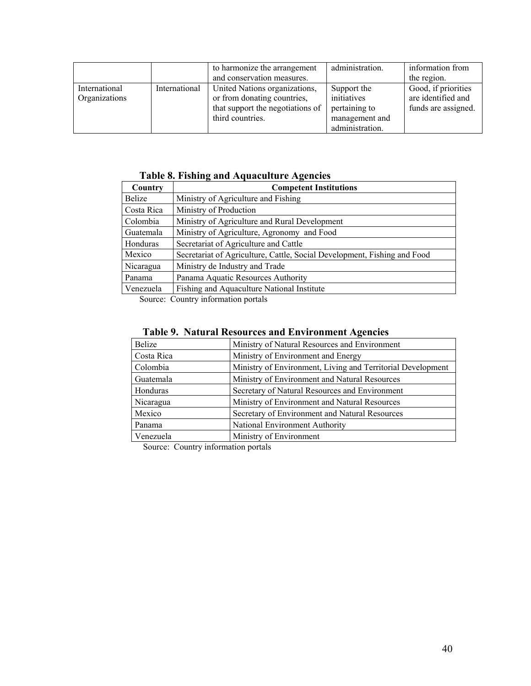|                                |               | to harmonize the arrangement<br>and conservation measures.                                                           | administration.                                                                  | information from<br>the region.                                  |
|--------------------------------|---------------|----------------------------------------------------------------------------------------------------------------------|----------------------------------------------------------------------------------|------------------------------------------------------------------|
| International<br>Organizations | International | United Nations organizations,<br>or from donating countries,<br>that support the negotiations of<br>third countries. | Support the<br>initiatives<br>pertaining to<br>management and<br>administration. | Good, if priorities<br>are identified and<br>funds are assigned. |

# **Table 8. Fishing and Aquaculture Agencies**

| Country       | <b>Competent Institutions</b>                                            |
|---------------|--------------------------------------------------------------------------|
| <b>Belize</b> | Ministry of Agriculture and Fishing                                      |
| Costa Rica    | Ministry of Production                                                   |
| Colombia      | Ministry of Agriculture and Rural Development                            |
| Guatemala     | Ministry of Agriculture, Agronomy and Food                               |
| Honduras      | Secretariat of Agriculture and Cattle                                    |
| Mexico        | Secretariat of Agriculture, Cattle, Social Development, Fishing and Food |
| Nicaragua     | Ministry de Industry and Trade                                           |
| Panama        | Panama Aquatic Resources Authority                                       |
| Venezuela     | Fishing and Aquaculture National Institute                               |
|               |                                                                          |

Source: Country information portals

# **Table 9. Natural Resources and Environment Agencies**

| <b>Belize</b> | Ministry of Natural Resources and Environment               |
|---------------|-------------------------------------------------------------|
| Costa Rica    | Ministry of Environment and Energy                          |
| Colombia      | Ministry of Environment, Living and Territorial Development |
| Guatemala     | Ministry of Environment and Natural Resources               |
| Honduras      | Secretary of Natural Resources and Environment              |
| Nicaragua     | Ministry of Environment and Natural Resources               |
| Mexico        | Secretary of Environment and Natural Resources              |
| Panama        | National Environment Authority                              |
| Venezuela     | Ministry of Environment                                     |

Source: Country information portals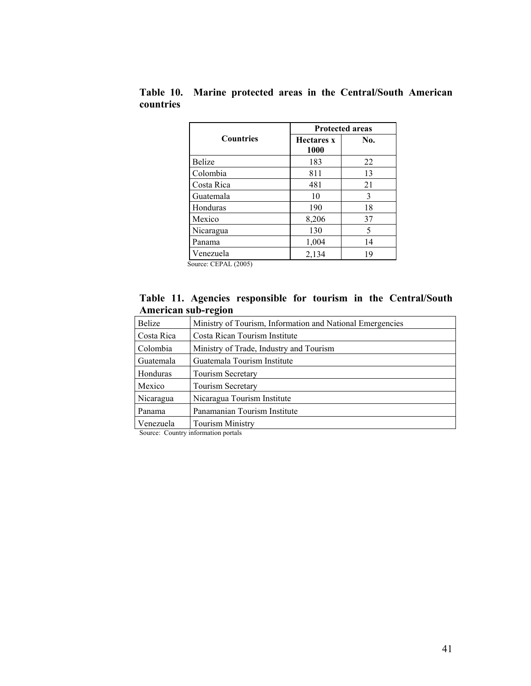|                  | <b>Protected areas</b>    |     |  |  |  |  |
|------------------|---------------------------|-----|--|--|--|--|
| <b>Countries</b> | <b>Hectares</b> x<br>1000 | No. |  |  |  |  |
| Belize           | 183                       | 22  |  |  |  |  |
| Colombia         | 811                       | 13  |  |  |  |  |
| Costa Rica       | 481                       | 21  |  |  |  |  |
| Guatemala        | 10                        | 3   |  |  |  |  |
| Honduras         | 190                       | 18  |  |  |  |  |
| Mexico           | 8,206                     | 37  |  |  |  |  |
| Nicaragua        | 130                       | 5   |  |  |  |  |
| Panama           | 1,004                     | 14  |  |  |  |  |
| Venezuela        | 2,134                     | 19  |  |  |  |  |

**Table 10. Marine protected areas in the Central/South American countries** 

Source: CEPAL (2005)

## **Table 11. Agencies responsible for tourism in the Central/South American sub-region**

| <b>Belize</b> | Ministry of Tourism, Information and National Emergencies |  |  |  |  |  |
|---------------|-----------------------------------------------------------|--|--|--|--|--|
| Costa Rica    | Costa Rican Tourism Institute                             |  |  |  |  |  |
| Colombia      | Ministry of Trade, Industry and Tourism                   |  |  |  |  |  |
| Guatemala     | Guatemala Tourism Institute                               |  |  |  |  |  |
| Honduras      | <b>Tourism Secretary</b>                                  |  |  |  |  |  |
| Mexico        | <b>Tourism Secretary</b>                                  |  |  |  |  |  |
| Nicaragua     | Nicaragua Tourism Institute                               |  |  |  |  |  |
| Panama        | Panamanian Tourism Institute                              |  |  |  |  |  |
| Venezuela     | <b>Tourism Ministry</b>                                   |  |  |  |  |  |

Source: Country information portals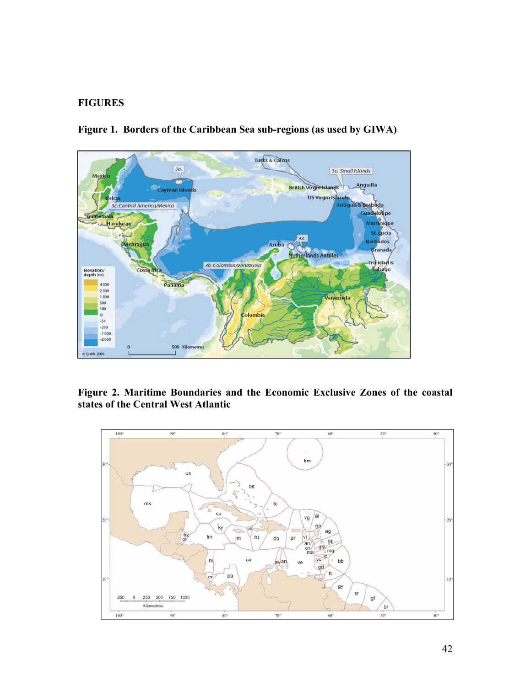#### **FIGURES**



**Figure 1. Borders of the Caribbean Sea sub-regions (as used by GIWA)** 

**Figure 2. Maritime Boundaries and the Economic Exclusive Zones of the coastal states of the Central West Atlantic** 

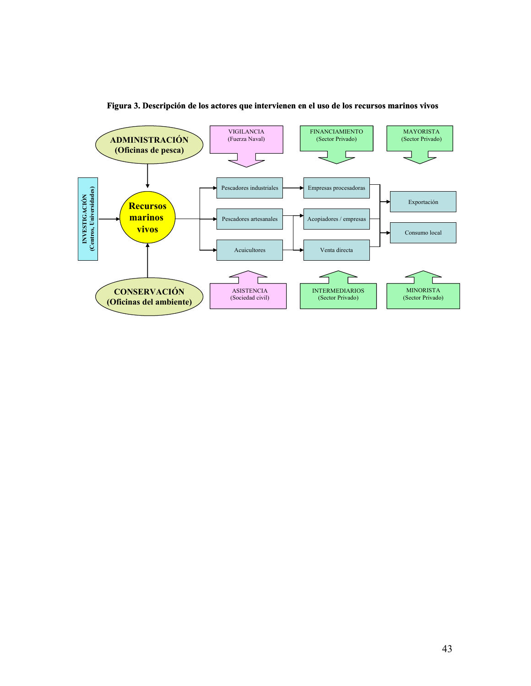

#### **Figura 3. Descripción de los actores que intervienen en el uso de los recursos marinos vivos**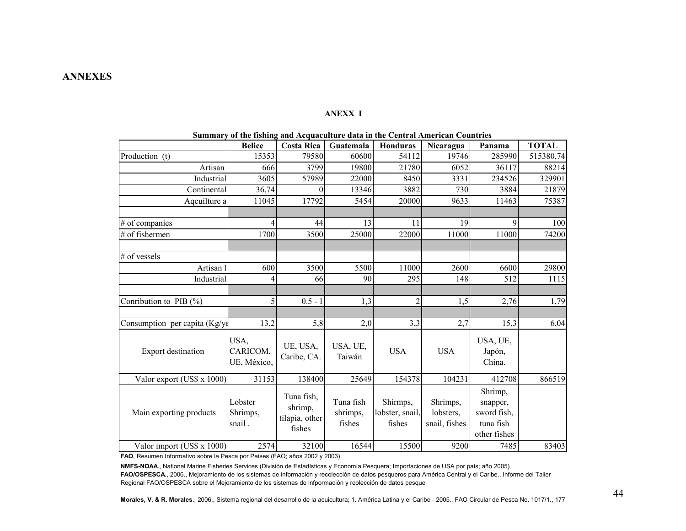#### **ANEXX I**

|                                 |                                 | Summary or the rishing and Aequaculture data in the central American Countries |                                 |                                       |                                        |                                                                 |              |
|---------------------------------|---------------------------------|--------------------------------------------------------------------------------|---------------------------------|---------------------------------------|----------------------------------------|-----------------------------------------------------------------|--------------|
|                                 | <b>Belice</b>                   | <b>Costa Rica</b>                                                              | Guatemala                       | <b>Honduras</b>                       | Nicaragua                              | Panama                                                          | <b>TOTAL</b> |
| Production (t)                  | 15353                           | 79580                                                                          | 60600                           | 54112                                 | 19746                                  | 285990                                                          | 515380,74    |
| Artisan                         | 666                             | 3799                                                                           | 19800                           | 21780                                 | 6052                                   | 36117                                                           | 88214        |
| Industrial                      | 3605                            | 57989                                                                          | 22000                           | 8450                                  | 3331                                   | 234526                                                          | 329901       |
| Continental                     | 36,74                           | 0                                                                              | 13346                           | 3882                                  | 730                                    | 3884                                                            | 21879        |
| Aqcuilture a                    | 11045                           | 17792                                                                          | 5454                            | 20000                                 | 9633                                   | 11463                                                           | 75387        |
|                                 |                                 |                                                                                |                                 |                                       |                                        |                                                                 |              |
| # of companies                  | 4                               | 44                                                                             | 13                              | 11                                    | 19                                     | 9                                                               | 100          |
| # of fishermen                  | 1700                            | 3500                                                                           | 25000                           | 22000                                 | 11000                                  | 11000                                                           | 74200        |
|                                 |                                 |                                                                                |                                 |                                       |                                        |                                                                 |              |
| # of vessels                    |                                 |                                                                                |                                 |                                       |                                        |                                                                 |              |
| Artisan l                       | 600                             | 3500                                                                           | 5500                            | 11000                                 | 2600                                   | 6600                                                            | 29800        |
| Industrial                      | 4                               | 66                                                                             | 90                              | 295                                   | 148                                    | 512                                                             | 1115         |
|                                 |                                 |                                                                                |                                 |                                       |                                        |                                                                 |              |
| Conribution to PIB $(\% )$      | 5                               | $0.5 - 1$                                                                      | 1,3                             | $\mathfrak{D}$                        | 1,5                                    | 2,76                                                            | 1,79         |
|                                 |                                 |                                                                                |                                 |                                       |                                        |                                                                 |              |
| Consumption per capita $(Kg/v)$ | 13,2                            | 5,8                                                                            | 2,0                             | 3,3                                   | 2,7                                    | 15,3                                                            | 6,04         |
| Export destination              | USA,<br>CARICOM,<br>UE, México, | UE, USA,<br>Caribe, CA.                                                        | USA, UE,<br>Taiwán              | <b>USA</b>                            | <b>USA</b>                             | USA, UE,<br>Japón,<br>China.                                    |              |
| Valor export (US\$ x 1000)      | 31153                           | 138400                                                                         | 25649                           | 154378                                | 104231                                 | 412708                                                          | 866519       |
| Main exporting products         | Lobster<br>Shrimps,<br>snail.   | Tuna fish,<br>shrimp,<br>tilapia, other<br>fishes                              | Tuna fish<br>shrimps,<br>fishes | Shirmps,<br>lobster, snail,<br>fishes | Shrimps,<br>lobsters,<br>snail, fishes | Shrimp,<br>snapper,<br>sword fish,<br>tuna fish<br>other fishes |              |
| Valor import (US\$ x 1000)      | 2574                            | 32100                                                                          | 16544                           | 15500                                 | 9200                                   | 7485                                                            | 83403        |

| Summary of the fishing and Acquaculture data in the Central American Countries |  |  |  |  |  |  |  |  |
|--------------------------------------------------------------------------------|--|--|--|--|--|--|--|--|
|                                                                                |  |  |  |  |  |  |  |  |

**FAO**, Resumen Informativo sobre la Pesca por Países (FAO; años 2002 y 2003)

**NMFS-NOAA**., National Marine Fisheries Services (División de Estadísticas y Economía Pesquera; Importaciones de USA por país; año 2005) **FAO/OSPESCA.**, 2006., Mejoramiento de los sistemas de información y recolección de datos pesqueros para América Central y el Caribe., Informe del Taller Regional FAO/OSPESCA sobre el Mejoramiento de los sistemas de infpormación y reolección de datos pesque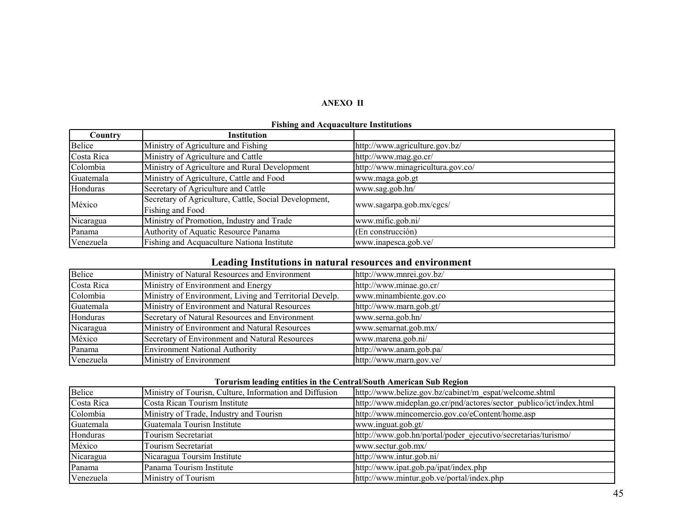#### **ANEXO II**

| Country    | <b>Institution</b>                                    |                                   |  |
|------------|-------------------------------------------------------|-----------------------------------|--|
| Belice     | Ministry of Agriculture and Fishing                   | http://www.agriculture.gov.bz/    |  |
| Costa Rica | Ministry of Agriculture and Cattle                    | http://www.mag.go.cr/             |  |
| Colombia   | Ministry of Agriculture and Rural Development         | http://www.minagricultura.gov.co/ |  |
| Guatemala  | Ministry of Agriculture, Cattle and Food              | www.maga.gob.gt                   |  |
| Honduras   | Secretary of Agriculture and Cattle                   | www.sag.gob.hn/                   |  |
|            | Secretary of Agriculture, Cattle, Social Development, |                                   |  |
| México     | Fishing and Food                                      | www.sagarpa.gob.mx/cgcs/          |  |
| Nicaragua  | Ministry of Promotion, Industry and Trade             | www.mific.gob.ni/                 |  |
| Panama     | Authority of Aquatic Resource Panama                  | (En construcción)                 |  |
| Venezuela  | Fishing and Acquaculture Nationa Institute            | www.inapesca.gob.ve/              |  |

#### **Fishing and Acquaculture Institutions**

#### **Leading Institutions in natural resources and environment**

| Belice     | Ministry of Natural Resources and Environment           | http://www.mnrei.gov.bz/ |
|------------|---------------------------------------------------------|--------------------------|
| Costa Rica | Ministry of Environment and Energy                      | http://www.minae.go.cr/  |
| Colombia   | Ministry of Environment, Living and Territorial Develp. | www.minambiente.gov.co   |
| Guatemala  | Ministry of Environment and Natural Resources           | http://www.marn.gob.gt/  |
| Honduras   | Secretary of Natural Resources and Environment          | www.serna.gob.hn/        |
| Nicaragua  | Ministry of Environment and Natural Resources           | www.semarnat.gob.mx/     |
| México     | Secretary of Environment and Natural Resources          | www.marena.gob.ni/       |
| Panama     | <b>Environment National Authority</b>                   | http://www.anam.gob.pa/  |
| Venezuela  | Ministry of Environment                                 | http://www.marn.gov.ve/  |

#### **Torurism leading entities in the Central/South American Sub Region**

| Belice     | Ministry of Tourisn, Culture, Information and Diffusion | http://www.belize.gov.bz/cabinet/m_espat/welcome.shtml              |
|------------|---------------------------------------------------------|---------------------------------------------------------------------|
| Costa Rica | Costa Rican Tourism Institute                           | http://www.mideplan.go.cr/pnd/actores/sector_publico/ict/index.html |
| Colombia   | Ministry of Trade, Industry and Tourisn                 | http://www.mincomercio.gov.co/eContent/home.asp                     |
| Guatemala  | Guatemala Tourisn Institute                             | www.inguat.gob.gt/                                                  |
| Honduras   | Tourism Secretariat                                     | http://www.gob.hn/portal/poder ejecutivo/secretarias/turismo/       |
| México     | Tourism Secretariat                                     | www.sectur.gob.mx/                                                  |
| Nicaragua  | Nicaragua Toursim Institute                             | http://www.intur.gob.ni/                                            |
| Panama     | Panama Tourism Institute                                | http://www.ipat.gob.pa/ipat/index.php                               |
| Venezuela  | Ministry of Tourism                                     | http://www.mintur.gob.ve/portal/index.php                           |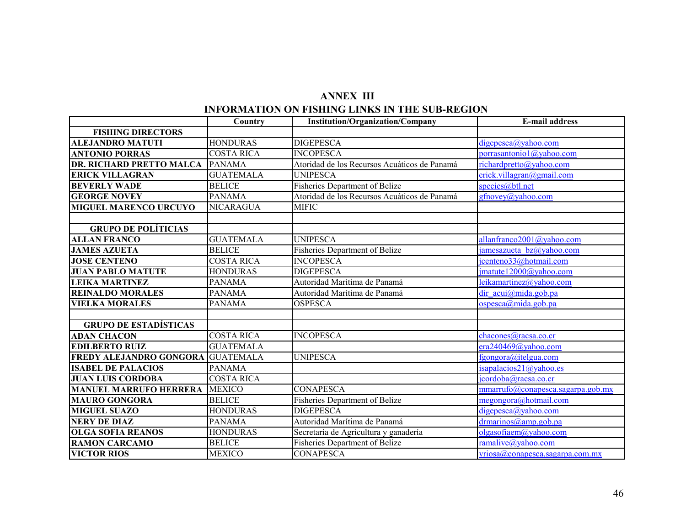# **INFORMATION ON FISHING LINKS IN THE SUB-REGION ANNEX III**

|                                 | Country           | <b>Institution/Organization/Company</b>      | <b>E-mail address</b>                       |
|---------------------------------|-------------------|----------------------------------------------|---------------------------------------------|
| <b>FISHING DIRECTORS</b>        |                   |                                              |                                             |
| <b>ALEJANDRO MATUTI</b>         | <b>HONDURAS</b>   | <b>DIGEPESCA</b>                             | digepesca@yahoo.com                         |
| <b>ANTONIO PORRAS</b>           | <b>COSTA RICA</b> | <b>INCOPESCA</b>                             | porrasantonio 1@yahoo.com                   |
| <b>DR. RICHARD PRETTO MALCA</b> | <b>PANAMA</b>     | Atoridad de los Recursos Acuáticos de Panamá | richardpretto@yahoo.com                     |
| <b>ERICK VILLAGRAN</b>          | <b>GUATEMALA</b>  | <b>UNIPESCA</b>                              | erick.villagran@gmail.com                   |
| <b>BEVERLY WADE</b>             | <b>BELICE</b>     | Fisheries Department of Belize               | species@btl.net                             |
| <b>GEORGE NOVEY</b>             | <b>PANAMA</b>     | Atoridad de los Recursos Acuáticos de Panamá | gfnovey@yahoo.com                           |
| <b>MIGUEL MARENCO URCUYO</b>    | <b>NICARAGUA</b>  | <b>MIFIC</b>                                 |                                             |
|                                 |                   |                                              |                                             |
| <b>GRUPO DE POLÍTICIAS</b>      |                   |                                              |                                             |
| <b>ALLAN FRANCO</b>             | <b>GUATEMALA</b>  | <b>UNIPESCA</b>                              | allanfranco2001@yahoo.com                   |
| <b>JAMES AZUETA</b>             | <b>BELICE</b>     | Fisheries Department of Belize               | jamesazueta $bz(a)$ yahoo.com               |
| <b>JOSE CENTENO</b>             | <b>COSTA RICA</b> | <b>INCOPESCA</b>                             | jcenteno33@hotmail.com                      |
| <b>JUAN PABLO MATUTE</b>        | <b>HONDURAS</b>   | <b>DIGEPESCA</b>                             | jmatute12000@yahoo.com                      |
| <b>LEIKA MARTINEZ</b>           | <b>PANAMA</b>     | Autoridad Marítima de Panamá                 | leikamartinez@yahoo.com                     |
| <b>REINALDO MORALES</b>         | <b>PANAMA</b>     | Autoridad Marítima de Panamá                 | dir acui@mida.gob.pa                        |
| <b>VIELKA MORALES</b>           | <b>PANAMA</b>     | <b>OSPESCA</b>                               | OSpesca@mida.gobpa                          |
|                                 |                   |                                              |                                             |
| <b>GRUPO DE ESTADÍSTICAS</b>    |                   |                                              |                                             |
| <b>ADAN CHACON</b>              | <b>COSTA RICA</b> | <b>INCOPESCA</b>                             | chacones@racsa.co.cr                        |
| <b>EDILBERTO RUIZ</b>           | <b>GUATEMALA</b>  |                                              | era240469@yahoo.com                         |
| <b>FREDY ALEJANDRO GONGORA</b>  | <b>GUATEMALA</b>  | <b>UNIPESCA</b>                              | fgongora@itelgua.com                        |
| <b>ISABEL DE PALACIOS</b>       | <b>PANAMA</b>     |                                              | isapalacios21@yahoo.es                      |
| <b>JUAN LUIS CORDOBA</b>        | <b>COSTA RICA</b> |                                              | $\overline{\text{icordoba}(a)}$ racsa.co.cr |
| <b>MANUEL MARRUFO HERRERA</b>   | <b>MEXICO</b>     | <b>CONAPESCA</b>                             | mmarrufo(a)conapesca.sagarpa.gov.mx         |
| <b>MAURO GONGORA</b>            | <b>BELICE</b>     | <b>Fisheries Department of Belize</b>        | megongora@hotmail.com                       |
| <b>MIGUEL SUAZO</b>             | <b>HONDURAS</b>   | <b>DIGEPESCA</b>                             | digepesca@yahoo.com                         |
| <b>NERY DE DIAZ</b>             | <b>PANAMA</b>     | Autoridad Marítima de Panamá                 | $d$ marinos@amp.gob.pa                      |
| <b>OLGA SOFIA REANOS</b>        | <b>HONDURAS</b>   | Secretaría de Agricultura y ganadería        | olgasofiaem@yahoo.com                       |
| <b>RAMON CARCAMO</b>            | <b>BELICE</b>     | <b>Fisheries Department of Belize</b>        | ramalive@yahoo.com                          |
| <b>VICTOR RIOS</b>              | <b>MEXICO</b>     | <b>CONAPESCA</b>                             | vriosa@conapesca.sagarpa.com.mx             |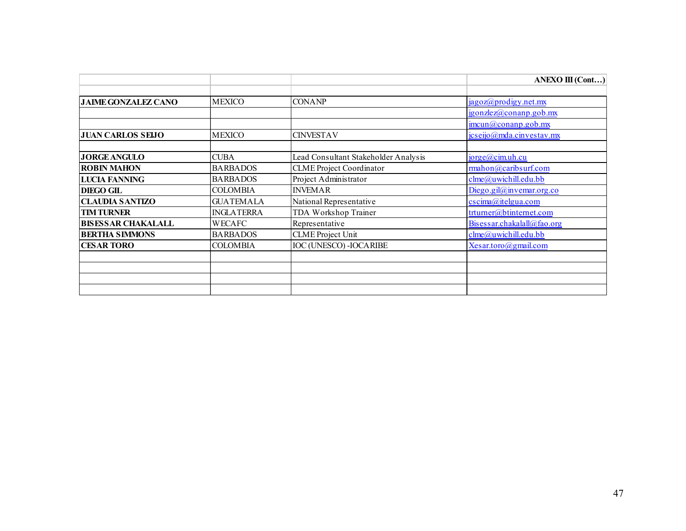|                            |                   |                                      | <b>ANEXO III (Cont)</b>                         |
|----------------------------|-------------------|--------------------------------------|-------------------------------------------------|
|                            |                   |                                      |                                                 |
| <b>JAIME GONZALEZ CANO</b> | <b>MEXICO</b>     | <b>CONANP</b>                        | jagoz@prodigy.net.mx                            |
|                            |                   |                                      | jgonzlez@comanp.gov.mx                          |
|                            |                   |                                      | $\frac{\text{imcun}(a)\text{conanp.gob.mx}}{a}$ |
| <b>JUAN CARLOS SEIJO</b>   | <b>MEXICO</b>     | <b>CINVESTAV</b>                     | $\frac{\text{jcseijo}(a)}{a}$ mda.cinvestav.mx  |
|                            |                   |                                      |                                                 |
| <b>JORGE ANGULO</b>        | <b>CUBA</b>       | Lead Consultant Stakeholder Analysis | jorge@cim.uh.cu                                 |
| <b>ROBIN MAHON</b>         | <b>BARBADOS</b>   | <b>CLME</b> Project Coordinator      | rmahon@caribsurf.com                            |
| <b>LUCIA FANNING</b>       | <b>BARBADOS</b>   | Project Administrator                | clme@uwichill.edu.bb                            |
| <b>DIEGO GIL</b>           | <b>COLOMBIA</b>   | <b>INVEMAR</b>                       | Diego.gil $@$ invemar.org.co                    |
| <b>CLAUDIA SANTIZO</b>     | <b>GUATEMALA</b>  | National Representative              | $\cscima(\vec{a})$ itelgua.com                  |
| <b>TIM TURNER</b>          | <b>INGLATERRA</b> | TDA Workshop Trainer                 | trturner@btinternet.com                         |
| <b>BISESSAR CHAKALALL</b>  | <b>WECAFC</b>     | Representative                       | Bisessar.chakalall@fao.org                      |
| <b>BERTHA SIMMONS</b>      | <b>BARBADOS</b>   | <b>CLME</b> Project Unit             | clme@uwichill.edu.bb                            |
| <b>CESAR TORO</b>          | <b>COLOMBIA</b>   | <b>IOC (UNESCO) - IOCARIBE</b>       | Xesar.toro@gmail.com                            |
|                            |                   |                                      |                                                 |
|                            |                   |                                      |                                                 |
|                            |                   |                                      |                                                 |
|                            |                   |                                      |                                                 |